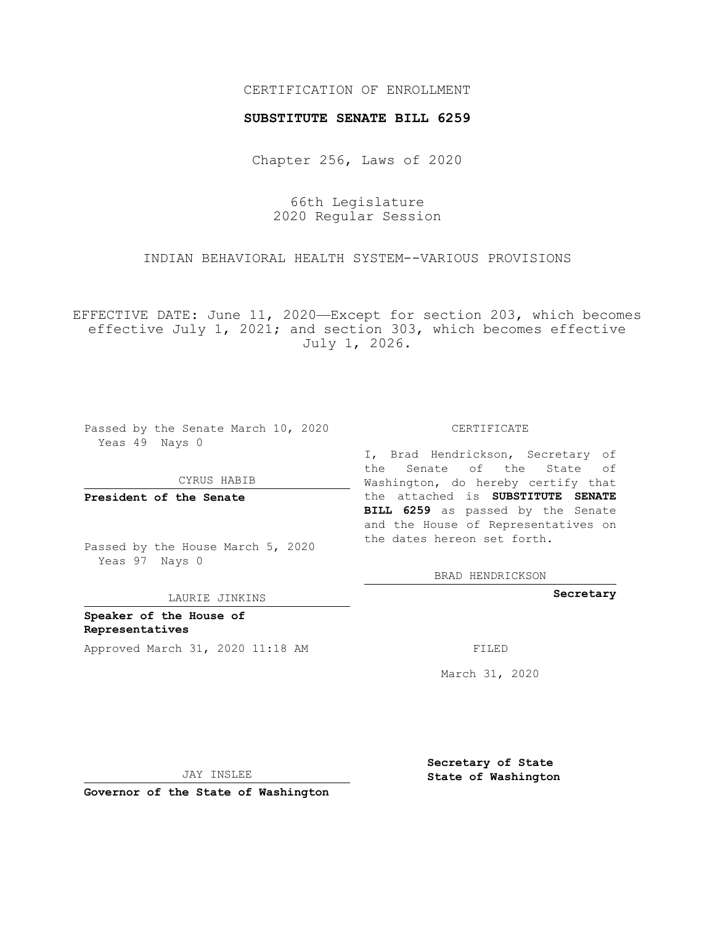## CERTIFICATION OF ENROLLMENT

#### **SUBSTITUTE SENATE BILL 6259**

Chapter 256, Laws of 2020

66th Legislature 2020 Regular Session

INDIAN BEHAVIORAL HEALTH SYSTEM--VARIOUS PROVISIONS

EFFECTIVE DATE: June 11, 2020—Except for section 203, which becomes effective July 1, 2021; and section 303, which becomes effective July 1, 2026.

Passed by the Senate March 10, 2020 Yeas 49 Nays 0

CYRUS HABIB

**President of the Senate**

Passed by the House March 5, 2020 Yeas 97 Nays 0

LAURIE JINKINS

**Speaker of the House of Representatives** Approved March 31, 2020 11:18 AM FILED

CERTIFICATE

I, Brad Hendrickson, Secretary of the Senate of the State of Washington, do hereby certify that the attached is **SUBSTITUTE SENATE BILL 6259** as passed by the Senate and the House of Representatives on the dates hereon set forth.

BRAD HENDRICKSON

**Secretary**

March 31, 2020

JAY INSLEE

**Governor of the State of Washington**

**Secretary of State State of Washington**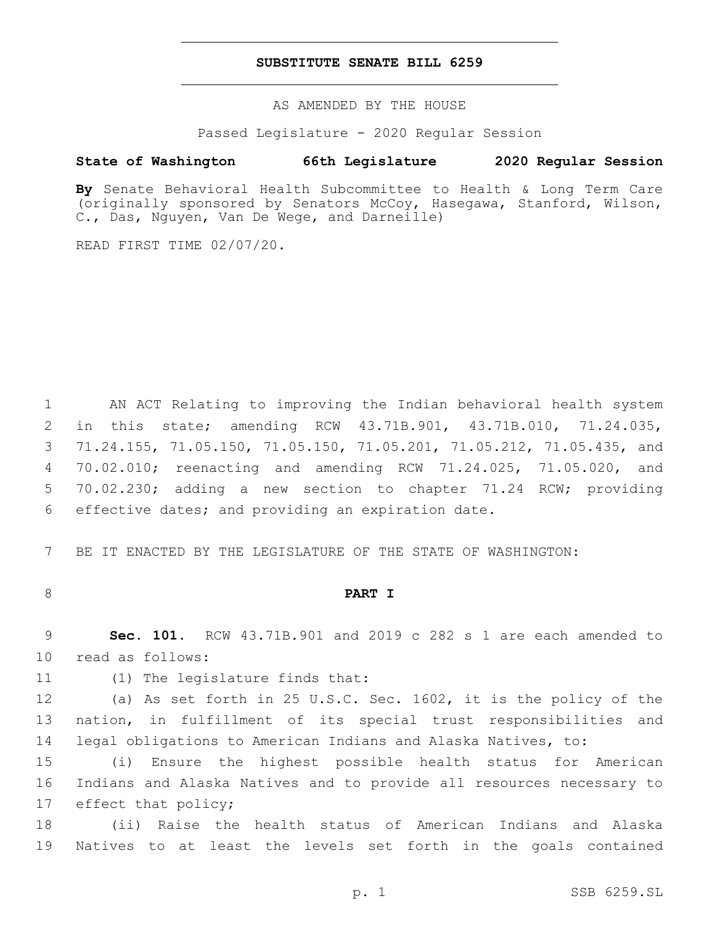#### **SUBSTITUTE SENATE BILL 6259**

AS AMENDED BY THE HOUSE

Passed Legislature - 2020 Regular Session

## **State of Washington 66th Legislature 2020 Regular Session**

**By** Senate Behavioral Health Subcommittee to Health & Long Term Care (originally sponsored by Senators McCoy, Hasegawa, Stanford, Wilson, C., Das, Nguyen, Van De Wege, and Darneille)

READ FIRST TIME 02/07/20.

 AN ACT Relating to improving the Indian behavioral health system in this state; amending RCW 43.71B.901, 43.71B.010, 71.24.035, 71.24.155, 71.05.150, 71.05.150, 71.05.201, 71.05.212, 71.05.435, and 70.02.010; reenacting and amending RCW 71.24.025, 71.05.020, and 70.02.230; adding a new section to chapter 71.24 RCW; providing 6 effective dates; and providing an expiration date.

7 BE IT ENACTED BY THE LEGISLATURE OF THE STATE OF WASHINGTON:

## 8 **PART I**

9 **Sec. 101.** RCW 43.71B.901 and 2019 c 282 s 1 are each amended to 10 read as follows:

11 (1) The legislature finds that:

12 (a) As set forth in 25 U.S.C. Sec. 1602, it is the policy of the 13 nation, in fulfillment of its special trust responsibilities and 14 legal obligations to American Indians and Alaska Natives, to:

15 (i) Ensure the highest possible health status for American 16 Indians and Alaska Natives and to provide all resources necessary to 17 effect that policy;

18 (ii) Raise the health status of American Indians and Alaska 19 Natives to at least the levels set forth in the goals contained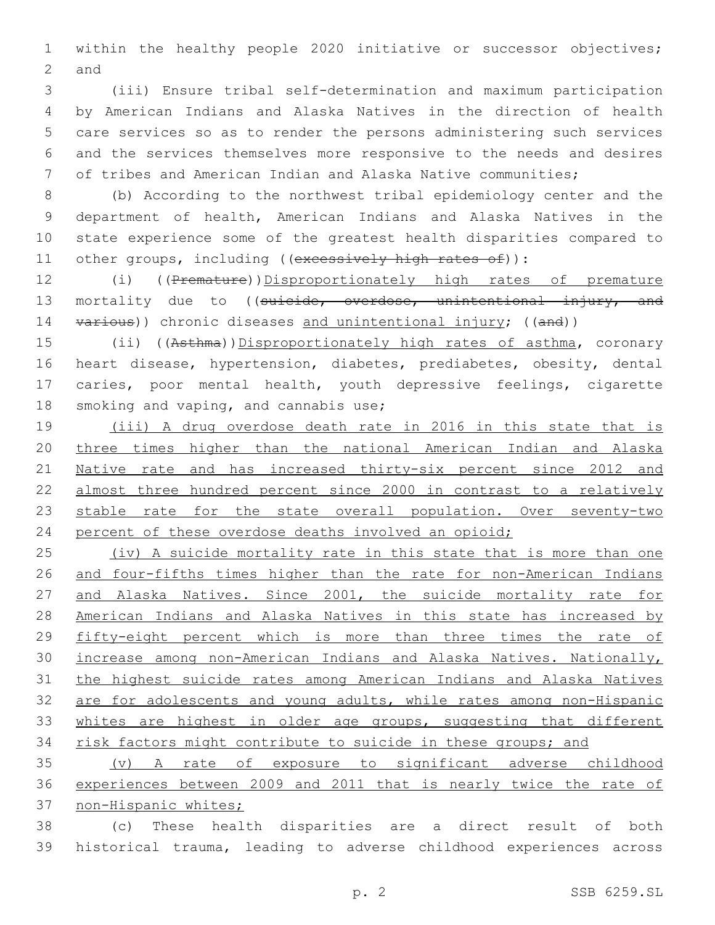within the healthy people 2020 initiative or successor objectives; 2 and

 (iii) Ensure tribal self-determination and maximum participation by American Indians and Alaska Natives in the direction of health care services so as to render the persons administering such services and the services themselves more responsive to the needs and desires of tribes and American Indian and Alaska Native communities;

 (b) According to the northwest tribal epidemiology center and the department of health, American Indians and Alaska Natives in the state experience some of the greatest health disparities compared to 11 other groups, including ((excessively high rates of)):

12 (i) ((Premature))Disproportionately high rates of premature 13 mortality due to ((suicide, overdose, unintentional injury, and 14 various)) chronic diseases and unintentional injury; ((and))

15 (ii) ((Asthma))Disproportionately high rates of asthma, coronary heart disease, hypertension, diabetes, prediabetes, obesity, dental caries, poor mental health, youth depressive feelings, cigarette 18 smoking and vaping, and cannabis use;

 (iii) A drug overdose death rate in 2016 in this state that is three times higher than the national American Indian and Alaska Native rate and has increased thirty-six percent since 2012 and almost three hundred percent since 2000 in contrast to a relatively 23 stable rate for the state overall population. Over seventy-two 24 percent of these overdose deaths involved an opioid;

25 (iv) A suicide mortality rate in this state that is more than one and four-fifths times higher than the rate for non-American Indians and Alaska Natives. Since 2001, the suicide mortality rate for American Indians and Alaska Natives in this state has increased by fifty-eight percent which is more than three times the rate of increase among non-American Indians and Alaska Natives. Nationally, the highest suicide rates among American Indians and Alaska Natives are for adolescents and young adults, while rates among non-Hispanic 33 whites are highest in older age groups, suggesting that different 34 risk factors might contribute to suicide in these groups; and

 (v) A rate of exposure to significant adverse childhood experiences between 2009 and 2011 that is nearly twice the rate of non-Hispanic whites;

 (c) These health disparities are a direct result of both historical trauma, leading to adverse childhood experiences across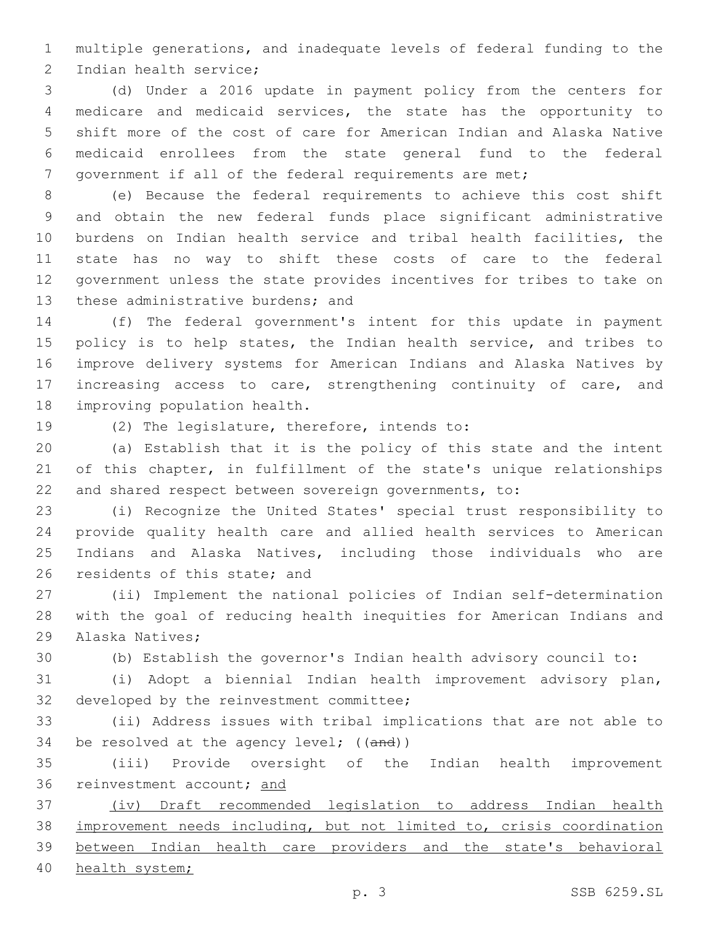multiple generations, and inadequate levels of federal funding to the 2 Indian health service;

 (d) Under a 2016 update in payment policy from the centers for medicare and medicaid services, the state has the opportunity to shift more of the cost of care for American Indian and Alaska Native medicaid enrollees from the state general fund to the federal 7 government if all of the federal requirements are met;

 (e) Because the federal requirements to achieve this cost shift and obtain the new federal funds place significant administrative burdens on Indian health service and tribal health facilities, the state has no way to shift these costs of care to the federal government unless the state provides incentives for tribes to take on 13 these administrative burdens; and

 (f) The federal government's intent for this update in payment 15 policy is to help states, the Indian health service, and tribes to improve delivery systems for American Indians and Alaska Natives by increasing access to care, strengthening continuity of care, and 18 improving population health.

19 (2) The legislature, therefore, intends to:

 (a) Establish that it is the policy of this state and the intent of this chapter, in fulfillment of the state's unique relationships and shared respect between sovereign governments, to:

 (i) Recognize the United States' special trust responsibility to provide quality health care and allied health services to American Indians and Alaska Natives, including those individuals who are 26 residents of this state; and

 (ii) Implement the national policies of Indian self-determination with the goal of reducing health inequities for American Indians and 29 Alaska Natives;

(b) Establish the governor's Indian health advisory council to:

 (i) Adopt a biennial Indian health improvement advisory plan, 32 developed by the reinvestment committee;

 (ii) Address issues with tribal implications that are not able to 34 be resolved at the agency level; ((and))

 (iii) Provide oversight of the Indian health improvement 36 reinvestment account; and

 (iv) Draft recommended legislation to address Indian health improvement needs including, but not limited to, crisis coordination between Indian health care providers and the state's behavioral

health system;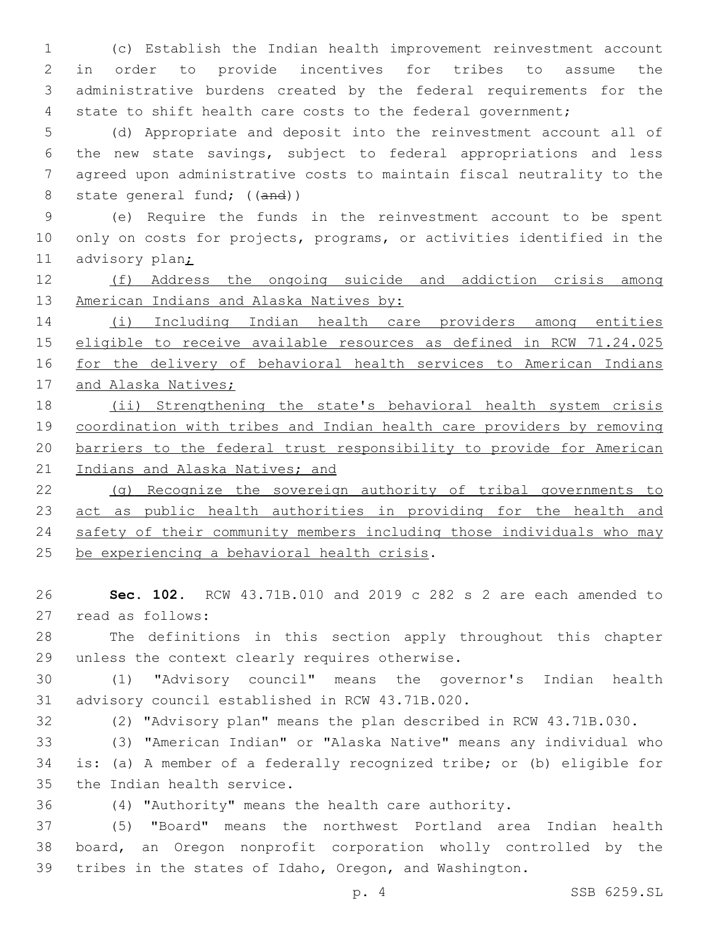(c) Establish the Indian health improvement reinvestment account in order to provide incentives for tribes to assume the administrative burdens created by the federal requirements for the state to shift health care costs to the federal government;

 (d) Appropriate and deposit into the reinvestment account all of the new state savings, subject to federal appropriations and less agreed upon administrative costs to maintain fiscal neutrality to the 8 state general fund; ((and))

 (e) Require the funds in the reinvestment account to be spent only on costs for projects, programs, or activities identified in the advisory plan;

 (f) Address the ongoing suicide and addiction crisis among 13 American Indians and Alaska Natives by:

 (i) Including Indian health care providers among entities eligible to receive available resources as defined in RCW 71.24.025 for the delivery of behavioral health services to American Indians 17 and Alaska Natives;

18 (ii) Strengthening the state's behavioral health system crisis coordination with tribes and Indian health care providers by removing barriers to the federal trust responsibility to provide for American 21 Indians and Alaska Natives; and

 (g) Recognize the sovereign authority of tribal governments to act as public health authorities in providing for the health and safety of their community members including those individuals who may 25 be experiencing a behavioral health crisis.

 **Sec. 102.** RCW 43.71B.010 and 2019 c 282 s 2 are each amended to 27 read as follows:

 The definitions in this section apply throughout this chapter 29 unless the context clearly requires otherwise.

 (1) "Advisory council" means the governor's Indian health 31 advisory council established in RCW 43.71B.020.

(2) "Advisory plan" means the plan described in RCW 43.71B.030.

 (3) "American Indian" or "Alaska Native" means any individual who is: (a) A member of a federally recognized tribe; or (b) eligible for 35 the Indian health service.

(4) "Authority" means the health care authority.

 (5) "Board" means the northwest Portland area Indian health board, an Oregon nonprofit corporation wholly controlled by the tribes in the states of Idaho, Oregon, and Washington.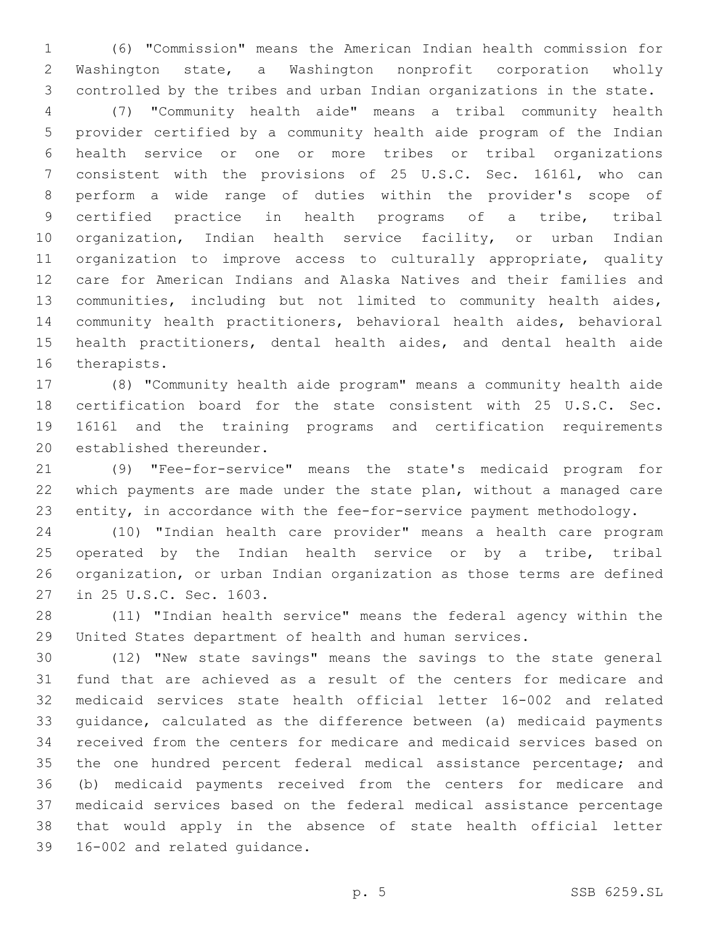(6) "Commission" means the American Indian health commission for Washington state, a Washington nonprofit corporation wholly controlled by the tribes and urban Indian organizations in the state.

 (7) "Community health aide" means a tribal community health provider certified by a community health aide program of the Indian health service or one or more tribes or tribal organizations consistent with the provisions of 25 U.S.C. Sec. 1616l, who can perform a wide range of duties within the provider's scope of certified practice in health programs of a tribe, tribal organization, Indian health service facility, or urban Indian organization to improve access to culturally appropriate, quality care for American Indians and Alaska Natives and their families and communities, including but not limited to community health aides, community health practitioners, behavioral health aides, behavioral health practitioners, dental health aides, and dental health aide 16 therapists.

 (8) "Community health aide program" means a community health aide certification board for the state consistent with 25 U.S.C. Sec. 1616l and the training programs and certification requirements 20 established thereunder.

 (9) "Fee-for-service" means the state's medicaid program for which payments are made under the state plan, without a managed care entity, in accordance with the fee-for-service payment methodology.

 (10) "Indian health care provider" means a health care program 25 operated by the Indian health service or by a tribe, tribal organization, or urban Indian organization as those terms are defined 27 in 25 U.S.C. Sec. 1603.

 (11) "Indian health service" means the federal agency within the United States department of health and human services.

 (12) "New state savings" means the savings to the state general fund that are achieved as a result of the centers for medicare and medicaid services state health official letter 16-002 and related guidance, calculated as the difference between (a) medicaid payments received from the centers for medicare and medicaid services based on the one hundred percent federal medical assistance percentage; and (b) medicaid payments received from the centers for medicare and medicaid services based on the federal medical assistance percentage that would apply in the absence of state health official letter 39 16-002 and related guidance.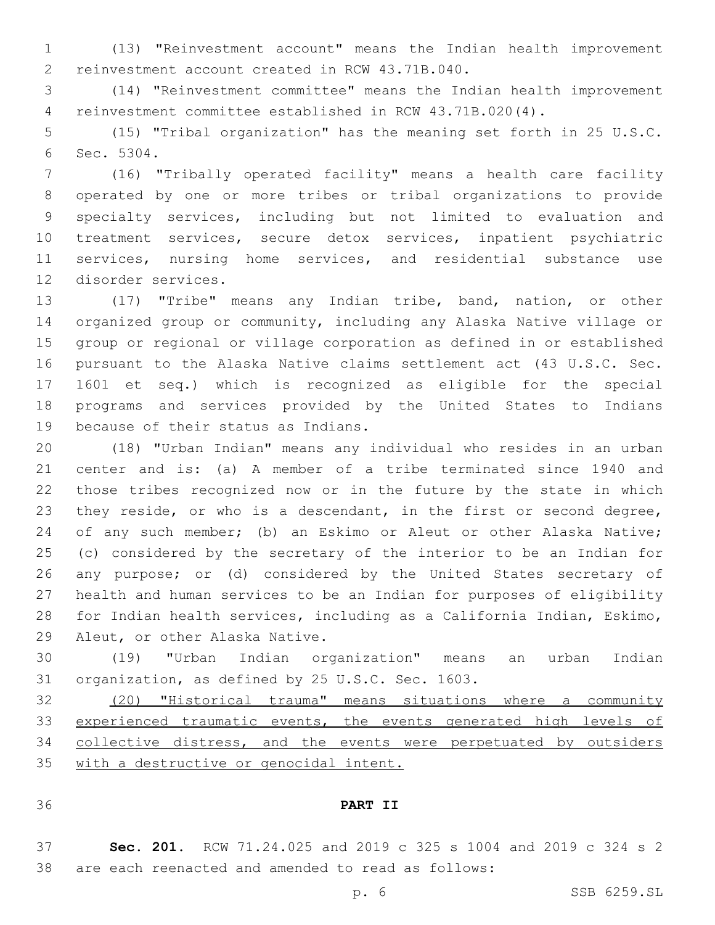(13) "Reinvestment account" means the Indian health improvement 2 reinvestment account created in RCW 43.71B.040.

 (14) "Reinvestment committee" means the Indian health improvement reinvestment committee established in RCW 43.71B.020(4).

 (15) "Tribal organization" has the meaning set forth in 25 U.S.C. 6 Sec. 5304.

 (16) "Tribally operated facility" means a health care facility operated by one or more tribes or tribal organizations to provide specialty services, including but not limited to evaluation and treatment services, secure detox services, inpatient psychiatric services, nursing home services, and residential substance use 12 disorder services.

 (17) "Tribe" means any Indian tribe, band, nation, or other organized group or community, including any Alaska Native village or group or regional or village corporation as defined in or established pursuant to the Alaska Native claims settlement act (43 U.S.C. Sec. 1601 et seq.) which is recognized as eligible for the special programs and services provided by the United States to Indians 19 because of their status as Indians.

 (18) "Urban Indian" means any individual who resides in an urban center and is: (a) A member of a tribe terminated since 1940 and those tribes recognized now or in the future by the state in which they reside, or who is a descendant, in the first or second degree, 24 of any such member; (b) an Eskimo or Aleut or other Alaska Native; (c) considered by the secretary of the interior to be an Indian for any purpose; or (d) considered by the United States secretary of health and human services to be an Indian for purposes of eligibility for Indian health services, including as a California Indian, Eskimo, 29 Aleut, or other Alaska Native.

 (19) "Urban Indian organization" means an urban Indian 31 organization, as defined by 25 U.S.C. Sec. 1603.

 (20) "Historical trauma" means situations where a community 33 experienced traumatic events, the events generated high levels of collective distress, and the events were perpetuated by outsiders with a destructive or genocidal intent.

## **PART II**

 **Sec. 201.** RCW 71.24.025 and 2019 c 325 s 1004 and 2019 c 324 s 2 are each reenacted and amended to read as follows: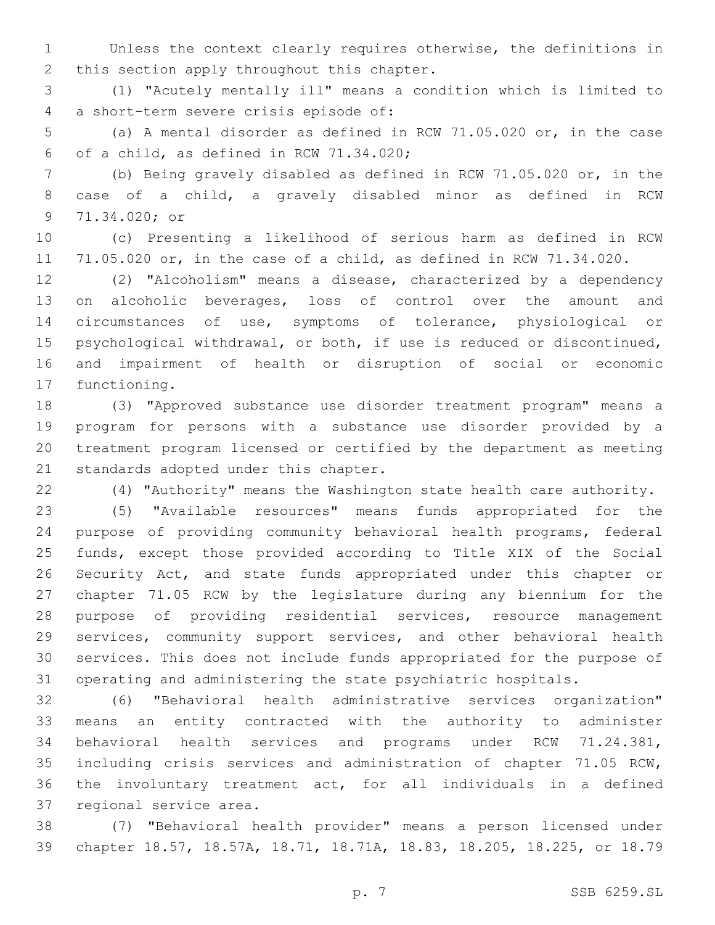Unless the context clearly requires otherwise, the definitions in 2 this section apply throughout this chapter.

 (1) "Acutely mentally ill" means a condition which is limited to a short-term severe crisis episode of:4

 (a) A mental disorder as defined in RCW 71.05.020 or, in the case 6 of a child, as defined in RCW  $71.34.020$ ;

 (b) Being gravely disabled as defined in RCW 71.05.020 or, in the case of a child, a gravely disabled minor as defined in RCW 9 71.34.020; or

 (c) Presenting a likelihood of serious harm as defined in RCW 71.05.020 or, in the case of a child, as defined in RCW 71.34.020.

 (2) "Alcoholism" means a disease, characterized by a dependency on alcoholic beverages, loss of control over the amount and circumstances of use, symptoms of tolerance, physiological or psychological withdrawal, or both, if use is reduced or discontinued, and impairment of health or disruption of social or economic 17 functioning.

 (3) "Approved substance use disorder treatment program" means a program for persons with a substance use disorder provided by a treatment program licensed or certified by the department as meeting 21 standards adopted under this chapter.

(4) "Authority" means the Washington state health care authority.

 (5) "Available resources" means funds appropriated for the purpose of providing community behavioral health programs, federal funds, except those provided according to Title XIX of the Social Security Act, and state funds appropriated under this chapter or chapter 71.05 RCW by the legislature during any biennium for the purpose of providing residential services, resource management services, community support services, and other behavioral health services. This does not include funds appropriated for the purpose of operating and administering the state psychiatric hospitals.

 (6) "Behavioral health administrative services organization" means an entity contracted with the authority to administer behavioral health services and programs under RCW 71.24.381, including crisis services and administration of chapter 71.05 RCW, the involuntary treatment act, for all individuals in a defined 37 regional service area.

 (7) "Behavioral health provider" means a person licensed under chapter 18.57, 18.57A, 18.71, 18.71A, 18.83, 18.205, 18.225, or 18.79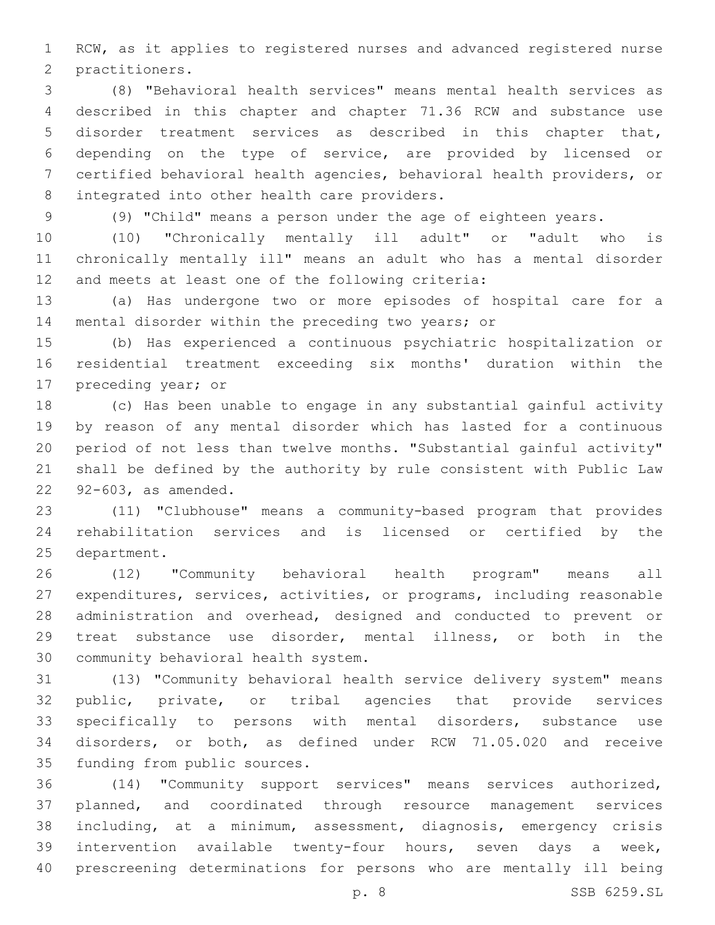RCW, as it applies to registered nurses and advanced registered nurse 2 practitioners.

 (8) "Behavioral health services" means mental health services as described in this chapter and chapter 71.36 RCW and substance use disorder treatment services as described in this chapter that, depending on the type of service, are provided by licensed or certified behavioral health agencies, behavioral health providers, or 8 integrated into other health care providers.

(9) "Child" means a person under the age of eighteen years.

 (10) "Chronically mentally ill adult" or "adult who is chronically mentally ill" means an adult who has a mental disorder 12 and meets at least one of the following criteria:

 (a) Has undergone two or more episodes of hospital care for a mental disorder within the preceding two years; or

 (b) Has experienced a continuous psychiatric hospitalization or residential treatment exceeding six months' duration within the 17 preceding year; or

 (c) Has been unable to engage in any substantial gainful activity by reason of any mental disorder which has lasted for a continuous period of not less than twelve months. "Substantial gainful activity" shall be defined by the authority by rule consistent with Public Law 22 92-603, as amended.

 (11) "Clubhouse" means a community-based program that provides rehabilitation services and is licensed or certified by the 25 department.

 (12) "Community behavioral health program" means all expenditures, services, activities, or programs, including reasonable administration and overhead, designed and conducted to prevent or treat substance use disorder, mental illness, or both in the 30 community behavioral health system.

 (13) "Community behavioral health service delivery system" means public, private, or tribal agencies that provide services specifically to persons with mental disorders, substance use disorders, or both, as defined under RCW 71.05.020 and receive 35 funding from public sources.

 (14) "Community support services" means services authorized, planned, and coordinated through resource management services including, at a minimum, assessment, diagnosis, emergency crisis intervention available twenty-four hours, seven days a week, prescreening determinations for persons who are mentally ill being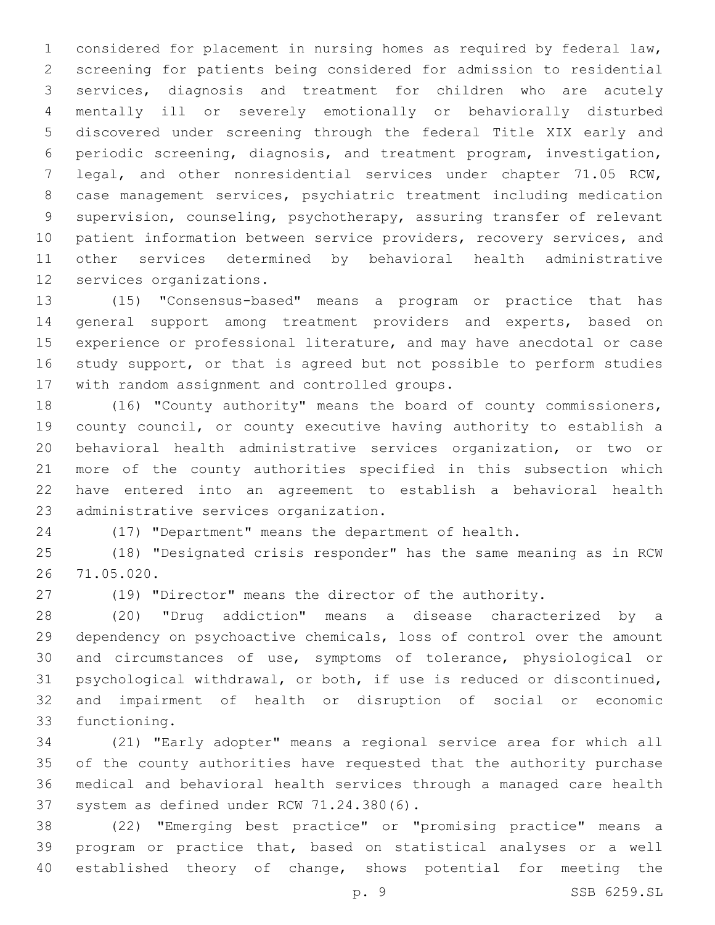considered for placement in nursing homes as required by federal law, screening for patients being considered for admission to residential services, diagnosis and treatment for children who are acutely mentally ill or severely emotionally or behaviorally disturbed discovered under screening through the federal Title XIX early and periodic screening, diagnosis, and treatment program, investigation, legal, and other nonresidential services under chapter 71.05 RCW, case management services, psychiatric treatment including medication supervision, counseling, psychotherapy, assuring transfer of relevant 10 patient information between service providers, recovery services, and other services determined by behavioral health administrative 12 services organizations.

 (15) "Consensus-based" means a program or practice that has general support among treatment providers and experts, based on experience or professional literature, and may have anecdotal or case study support, or that is agreed but not possible to perform studies 17 with random assignment and controlled groups.

 (16) "County authority" means the board of county commissioners, county council, or county executive having authority to establish a behavioral health administrative services organization, or two or more of the county authorities specified in this subsection which have entered into an agreement to establish a behavioral health 23 administrative services organization.

(17) "Department" means the department of health.

 (18) "Designated crisis responder" has the same meaning as in RCW 71.05.020.26

(19) "Director" means the director of the authority.

 (20) "Drug addiction" means a disease characterized by a dependency on psychoactive chemicals, loss of control over the amount and circumstances of use, symptoms of tolerance, physiological or psychological withdrawal, or both, if use is reduced or discontinued, and impairment of health or disruption of social or economic 33 functioning.

 (21) "Early adopter" means a regional service area for which all of the county authorities have requested that the authority purchase medical and behavioral health services through a managed care health 37 system as defined under RCW 71.24.380(6).

 (22) "Emerging best practice" or "promising practice" means a program or practice that, based on statistical analyses or a well established theory of change, shows potential for meeting the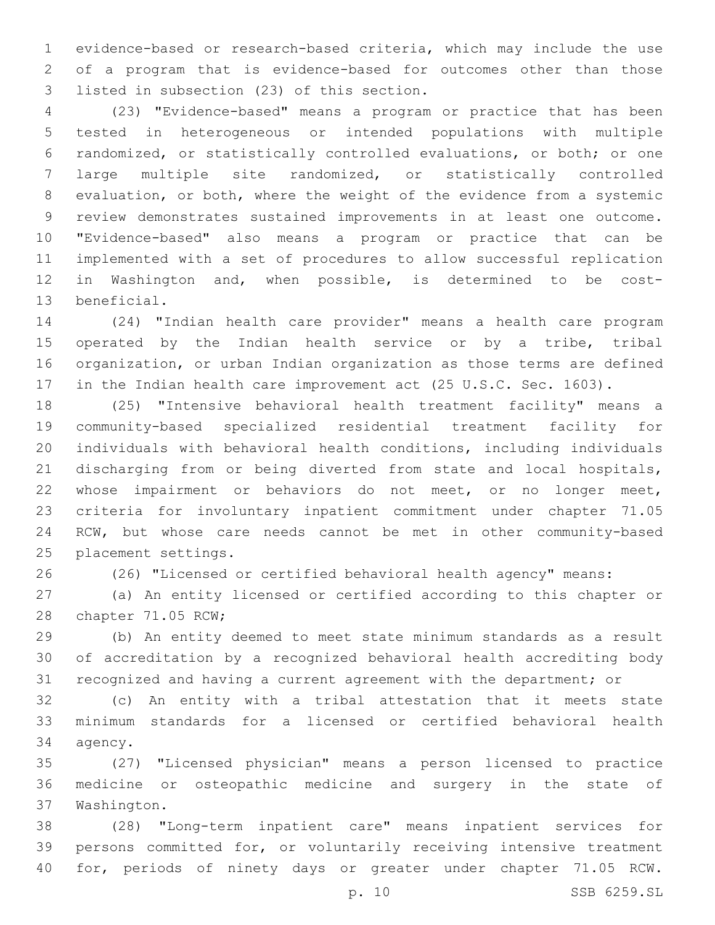evidence-based or research-based criteria, which may include the use of a program that is evidence-based for outcomes other than those 3 listed in subsection (23) of this section.

 (23) "Evidence-based" means a program or practice that has been tested in heterogeneous or intended populations with multiple randomized, or statistically controlled evaluations, or both; or one large multiple site randomized, or statistically controlled evaluation, or both, where the weight of the evidence from a systemic review demonstrates sustained improvements in at least one outcome. "Evidence-based" also means a program or practice that can be implemented with a set of procedures to allow successful replication in Washington and, when possible, is determined to be cost-13 beneficial.

 (24) "Indian health care provider" means a health care program 15 operated by the Indian health service or by a tribe, tribal organization, or urban Indian organization as those terms are defined 17 in the Indian health care improvement act (25 U.S.C. Sec. 1603).

 (25) "Intensive behavioral health treatment facility" means a community-based specialized residential treatment facility for individuals with behavioral health conditions, including individuals discharging from or being diverted from state and local hospitals, whose impairment or behaviors do not meet, or no longer meet, criteria for involuntary inpatient commitment under chapter 71.05 RCW, but whose care needs cannot be met in other community-based 25 placement settings.

(26) "Licensed or certified behavioral health agency" means:

 (a) An entity licensed or certified according to this chapter or 28 chapter 71.05 RCW;

 (b) An entity deemed to meet state minimum standards as a result of accreditation by a recognized behavioral health accrediting body recognized and having a current agreement with the department; or

 (c) An entity with a tribal attestation that it meets state minimum standards for a licensed or certified behavioral health 34 agency.

 (27) "Licensed physician" means a person licensed to practice medicine or osteopathic medicine and surgery in the state of 37 Washington.

 (28) "Long-term inpatient care" means inpatient services for persons committed for, or voluntarily receiving intensive treatment for, periods of ninety days or greater under chapter 71.05 RCW.

p. 10 SSB 6259.SL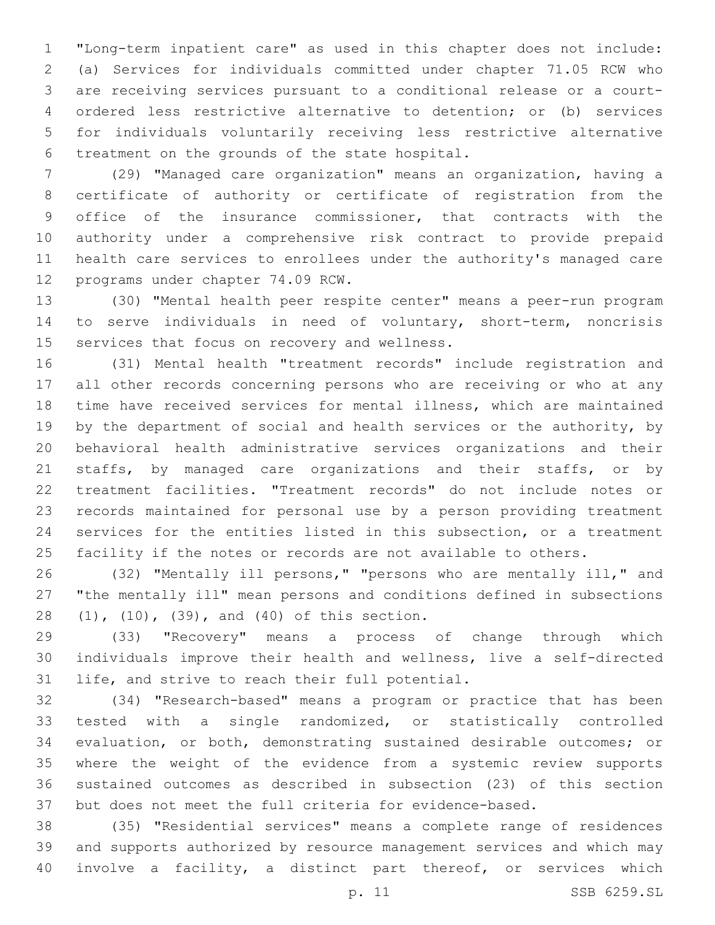"Long-term inpatient care" as used in this chapter does not include: (a) Services for individuals committed under chapter 71.05 RCW who are receiving services pursuant to a conditional release or a court- ordered less restrictive alternative to detention; or (b) services for individuals voluntarily receiving less restrictive alternative 6 treatment on the grounds of the state hospital.

 (29) "Managed care organization" means an organization, having a certificate of authority or certificate of registration from the office of the insurance commissioner, that contracts with the authority under a comprehensive risk contract to provide prepaid health care services to enrollees under the authority's managed care 12 programs under chapter 74.09 RCW.

 (30) "Mental health peer respite center" means a peer-run program to serve individuals in need of voluntary, short-term, noncrisis 15 services that focus on recovery and wellness.

 (31) Mental health "treatment records" include registration and all other records concerning persons who are receiving or who at any time have received services for mental illness, which are maintained 19 by the department of social and health services or the authority, by behavioral health administrative services organizations and their 21 staffs, by managed care organizations and their staffs, or by treatment facilities. "Treatment records" do not include notes or records maintained for personal use by a person providing treatment services for the entities listed in this subsection, or a treatment facility if the notes or records are not available to others.

 (32) "Mentally ill persons," "persons who are mentally ill," and "the mentally ill" mean persons and conditions defined in subsections 28 (1), (10), (39), and (40) of this section.

 (33) "Recovery" means a process of change through which individuals improve their health and wellness, live a self-directed 31 life, and strive to reach their full potential.

 (34) "Research-based" means a program or practice that has been tested with a single randomized, or statistically controlled evaluation, or both, demonstrating sustained desirable outcomes; or where the weight of the evidence from a systemic review supports sustained outcomes as described in subsection (23) of this section but does not meet the full criteria for evidence-based.

 (35) "Residential services" means a complete range of residences and supports authorized by resource management services and which may involve a facility, a distinct part thereof, or services which

p. 11 SSB 6259.SL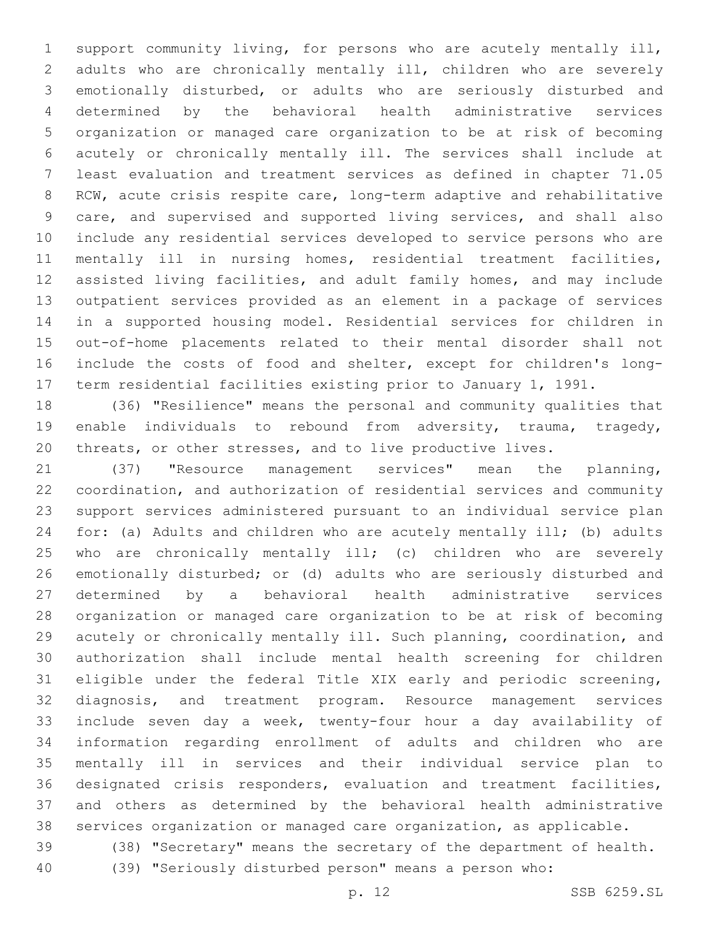support community living, for persons who are acutely mentally ill, adults who are chronically mentally ill, children who are severely emotionally disturbed, or adults who are seriously disturbed and determined by the behavioral health administrative services organization or managed care organization to be at risk of becoming acutely or chronically mentally ill. The services shall include at least evaluation and treatment services as defined in chapter 71.05 RCW, acute crisis respite care, long-term adaptive and rehabilitative care, and supervised and supported living services, and shall also include any residential services developed to service persons who are mentally ill in nursing homes, residential treatment facilities, assisted living facilities, and adult family homes, and may include outpatient services provided as an element in a package of services in a supported housing model. Residential services for children in out-of-home placements related to their mental disorder shall not include the costs of food and shelter, except for children's long-term residential facilities existing prior to January 1, 1991.

 (36) "Resilience" means the personal and community qualities that enable individuals to rebound from adversity, trauma, tragedy, threats, or other stresses, and to live productive lives.

 (37) "Resource management services" mean the planning, coordination, and authorization of residential services and community support services administered pursuant to an individual service plan for: (a) Adults and children who are acutely mentally ill; (b) adults who are chronically mentally ill; (c) children who are severely emotionally disturbed; or (d) adults who are seriously disturbed and determined by a behavioral health administrative services organization or managed care organization to be at risk of becoming acutely or chronically mentally ill. Such planning, coordination, and authorization shall include mental health screening for children eligible under the federal Title XIX early and periodic screening, diagnosis, and treatment program. Resource management services include seven day a week, twenty-four hour a day availability of information regarding enrollment of adults and children who are mentally ill in services and their individual service plan to designated crisis responders, evaluation and treatment facilities, and others as determined by the behavioral health administrative services organization or managed care organization, as applicable. (38) "Secretary" means the secretary of the department of health.

(39) "Seriously disturbed person" means a person who:

p. 12 SSB 6259.SL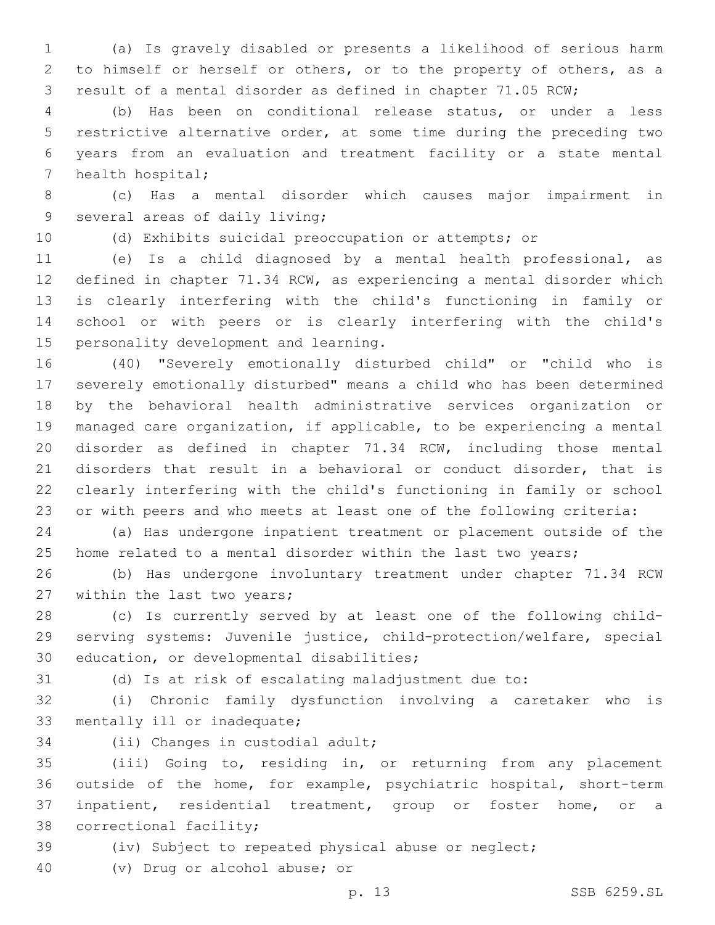(a) Is gravely disabled or presents a likelihood of serious harm to himself or herself or others, or to the property of others, as a result of a mental disorder as defined in chapter 71.05 RCW;

 (b) Has been on conditional release status, or under a less restrictive alternative order, at some time during the preceding two years from an evaluation and treatment facility or a state mental 7 health hospital;

 (c) Has a mental disorder which causes major impairment in 9 several areas of daily living;

(d) Exhibits suicidal preoccupation or attempts; or

 (e) Is a child diagnosed by a mental health professional, as defined in chapter 71.34 RCW, as experiencing a mental disorder which is clearly interfering with the child's functioning in family or school or with peers or is clearly interfering with the child's 15 personality development and learning.

 (40) "Severely emotionally disturbed child" or "child who is severely emotionally disturbed" means a child who has been determined by the behavioral health administrative services organization or managed care organization, if applicable, to be experiencing a mental disorder as defined in chapter 71.34 RCW, including those mental disorders that result in a behavioral or conduct disorder, that is clearly interfering with the child's functioning in family or school or with peers and who meets at least one of the following criteria:

 (a) Has undergone inpatient treatment or placement outside of the home related to a mental disorder within the last two years;

 (b) Has undergone involuntary treatment under chapter 71.34 RCW 27 within the last two years;

 (c) Is currently served by at least one of the following child- serving systems: Juvenile justice, child-protection/welfare, special 30 education, or developmental disabilities;

(d) Is at risk of escalating maladjustment due to:

 (i) Chronic family dysfunction involving a caretaker who is 33 mentally ill or inadequate;

34 (ii) Changes in custodial adult;

 (iii) Going to, residing in, or returning from any placement outside of the home, for example, psychiatric hospital, short-term inpatient, residential treatment, group or foster home, or a 38 correctional facility;

(iv) Subject to repeated physical abuse or neglect;

(v) Drug or alcohol abuse; or40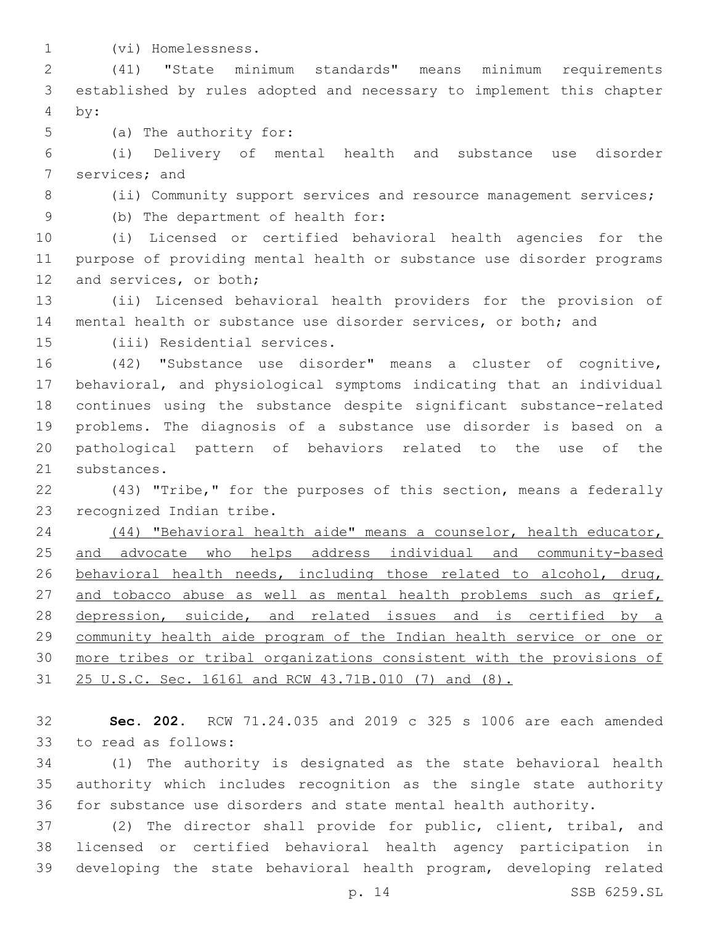(vi) Homelessness.1

 (41) "State minimum standards" means minimum requirements established by rules adopted and necessary to implement this chapter by:4

5 (a) The authority for:

 (i) Delivery of mental health and substance use disorder 7 services; and

- 
- 8 (ii) Community support services and resource management services;

(b) The department of health for:9

 (i) Licensed or certified behavioral health agencies for the purpose of providing mental health or substance use disorder programs 12 and services, or both;

 (ii) Licensed behavioral health providers for the provision of mental health or substance use disorder services, or both; and

15 (iii) Residential services.

 (42) "Substance use disorder" means a cluster of cognitive, behavioral, and physiological symptoms indicating that an individual continues using the substance despite significant substance-related problems. The diagnosis of a substance use disorder is based on a pathological pattern of behaviors related to the use of the 21 substances.

 (43) "Tribe," for the purposes of this section, means a federally 23 recognized Indian tribe.

 (44) "Behavioral health aide" means a counselor, health educator, 25 and advocate who helps address individual and community-based behavioral health needs, including those related to alcohol, drug, 27 and tobacco abuse as well as mental health problems such as grief, 28 depression, suicide, and related issues and is certified by a community health aide program of the Indian health service or one or more tribes or tribal organizations consistent with the provisions of 25 U.S.C. Sec. 1616l and RCW 43.71B.010 (7) and (8).

 **Sec. 202.** RCW 71.24.035 and 2019 c 325 s 1006 are each amended 33 to read as follows:

 (1) The authority is designated as the state behavioral health authority which includes recognition as the single state authority for substance use disorders and state mental health authority.

 (2) The director shall provide for public, client, tribal, and licensed or certified behavioral health agency participation in developing the state behavioral health program, developing related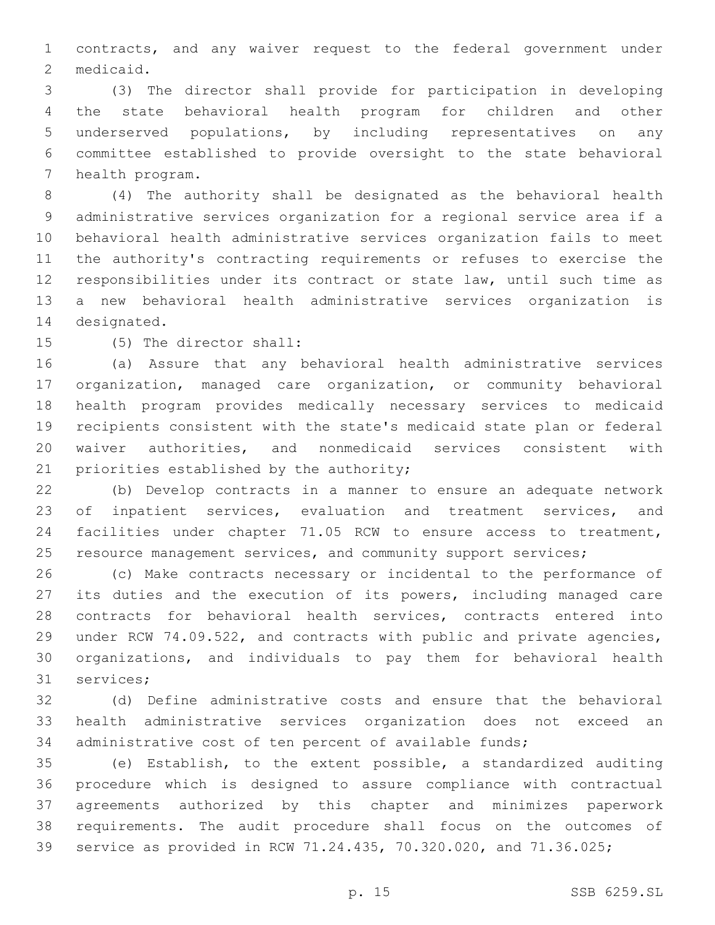contracts, and any waiver request to the federal government under 2 medicaid.

 (3) The director shall provide for participation in developing the state behavioral health program for children and other underserved populations, by including representatives on any committee established to provide oversight to the state behavioral 7 health program.

 (4) The authority shall be designated as the behavioral health administrative services organization for a regional service area if a behavioral health administrative services organization fails to meet the authority's contracting requirements or refuses to exercise the responsibilities under its contract or state law, until such time as a new behavioral health administrative services organization is 14 designated.

15 (5) The director shall:

 (a) Assure that any behavioral health administrative services organization, managed care organization, or community behavioral health program provides medically necessary services to medicaid recipients consistent with the state's medicaid state plan or federal waiver authorities, and nonmedicaid services consistent with 21 priorities established by the authority;

 (b) Develop contracts in a manner to ensure an adequate network 23 of inpatient services, evaluation and treatment services, and facilities under chapter 71.05 RCW to ensure access to treatment, 25 resource management services, and community support services;

 (c) Make contracts necessary or incidental to the performance of its duties and the execution of its powers, including managed care contracts for behavioral health services, contracts entered into under RCW 74.09.522, and contracts with public and private agencies, organizations, and individuals to pay them for behavioral health 31 services;

 (d) Define administrative costs and ensure that the behavioral health administrative services organization does not exceed an administrative cost of ten percent of available funds;

 (e) Establish, to the extent possible, a standardized auditing procedure which is designed to assure compliance with contractual agreements authorized by this chapter and minimizes paperwork requirements. The audit procedure shall focus on the outcomes of service as provided in RCW 71.24.435, 70.320.020, and 71.36.025;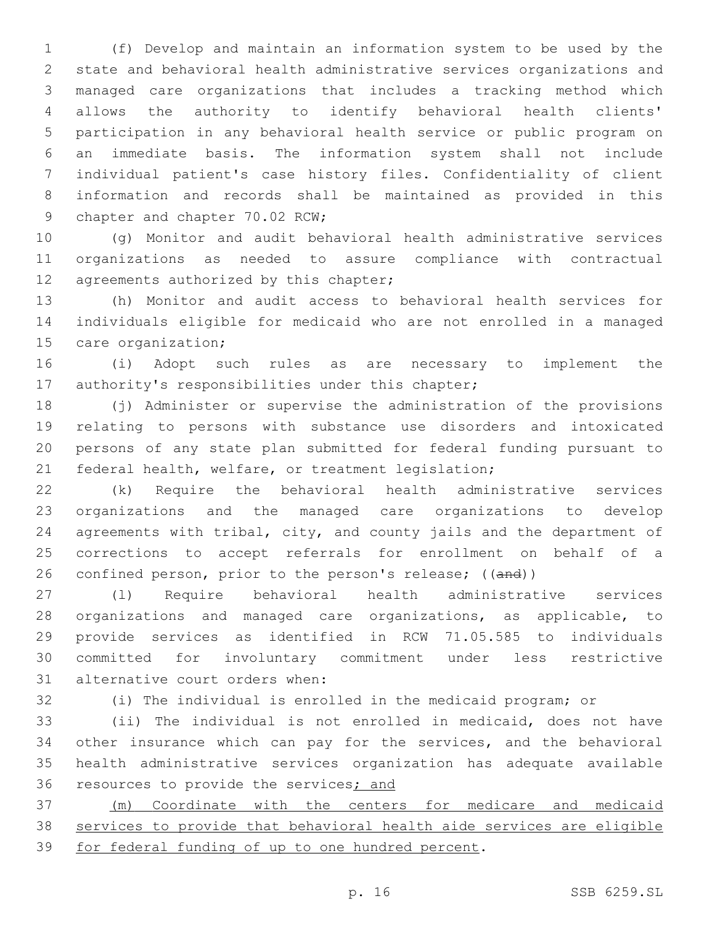(f) Develop and maintain an information system to be used by the state and behavioral health administrative services organizations and managed care organizations that includes a tracking method which allows the authority to identify behavioral health clients' participation in any behavioral health service or public program on an immediate basis. The information system shall not include individual patient's case history files. Confidentiality of client information and records shall be maintained as provided in this 9 chapter and chapter 70.02 RCW;

 (g) Monitor and audit behavioral health administrative services organizations as needed to assure compliance with contractual 12 agreements authorized by this chapter;

 (h) Monitor and audit access to behavioral health services for individuals eligible for medicaid who are not enrolled in a managed 15 care organization;

 (i) Adopt such rules as are necessary to implement the 17 authority's responsibilities under this chapter;

 (j) Administer or supervise the administration of the provisions relating to persons with substance use disorders and intoxicated persons of any state plan submitted for federal funding pursuant to federal health, welfare, or treatment legislation;

 (k) Require the behavioral health administrative services organizations and the managed care organizations to develop agreements with tribal, city, and county jails and the department of corrections to accept referrals for enrollment on behalf of a 26 confined person, prior to the person's release; ((and))

 (l) Require behavioral health administrative services organizations and managed care organizations, as applicable, to provide services as identified in RCW 71.05.585 to individuals committed for involuntary commitment under less restrictive 31 alternative court orders when:

(i) The individual is enrolled in the medicaid program; or

 (ii) The individual is not enrolled in medicaid, does not have other insurance which can pay for the services, and the behavioral health administrative services organization has adequate available 36 resources to provide the services; and

 (m) Coordinate with the centers for medicare and medicaid services to provide that behavioral health aide services are eligible 39 for federal funding of up to one hundred percent.

p. 16 SSB 6259.SL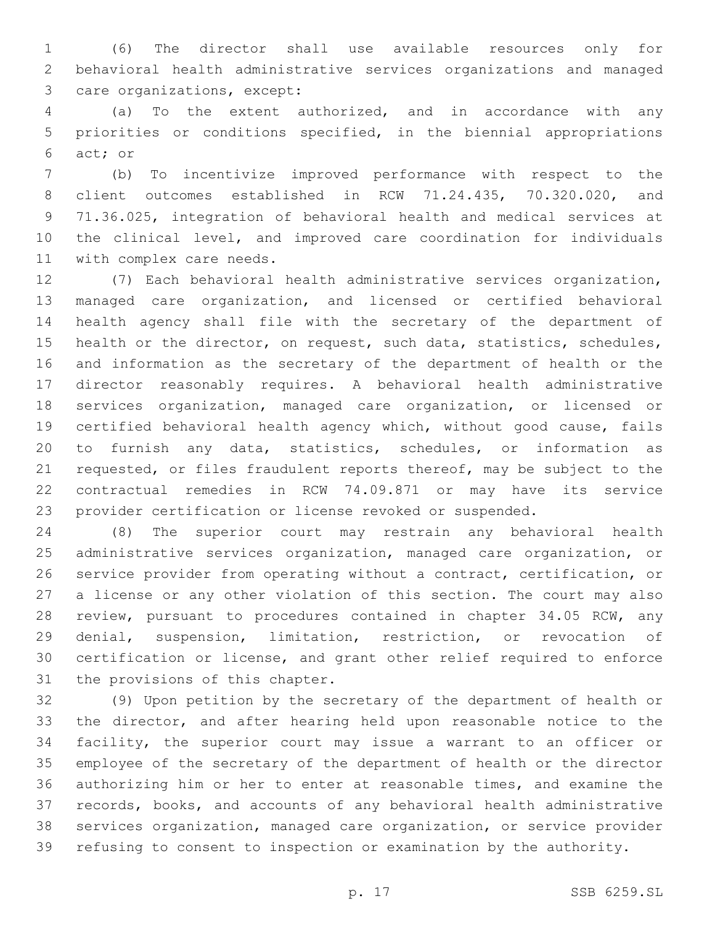(6) The director shall use available resources only for behavioral health administrative services organizations and managed 3 care organizations, except:

 (a) To the extent authorized, and in accordance with any priorities or conditions specified, in the biennial appropriations 6 act; or

 (b) To incentivize improved performance with respect to the client outcomes established in RCW 71.24.435, 70.320.020, and 71.36.025, integration of behavioral health and medical services at the clinical level, and improved care coordination for individuals 11 with complex care needs.

 (7) Each behavioral health administrative services organization, managed care organization, and licensed or certified behavioral health agency shall file with the secretary of the department of health or the director, on request, such data, statistics, schedules, and information as the secretary of the department of health or the director reasonably requires. A behavioral health administrative services organization, managed care organization, or licensed or certified behavioral health agency which, without good cause, fails to furnish any data, statistics, schedules, or information as requested, or files fraudulent reports thereof, may be subject to the contractual remedies in RCW 74.09.871 or may have its service provider certification or license revoked or suspended.

 (8) The superior court may restrain any behavioral health administrative services organization, managed care organization, or service provider from operating without a contract, certification, or a license or any other violation of this section. The court may also review, pursuant to procedures contained in chapter 34.05 RCW, any denial, suspension, limitation, restriction, or revocation of certification or license, and grant other relief required to enforce 31 the provisions of this chapter.

 (9) Upon petition by the secretary of the department of health or the director, and after hearing held upon reasonable notice to the facility, the superior court may issue a warrant to an officer or employee of the secretary of the department of health or the director authorizing him or her to enter at reasonable times, and examine the records, books, and accounts of any behavioral health administrative services organization, managed care organization, or service provider refusing to consent to inspection or examination by the authority.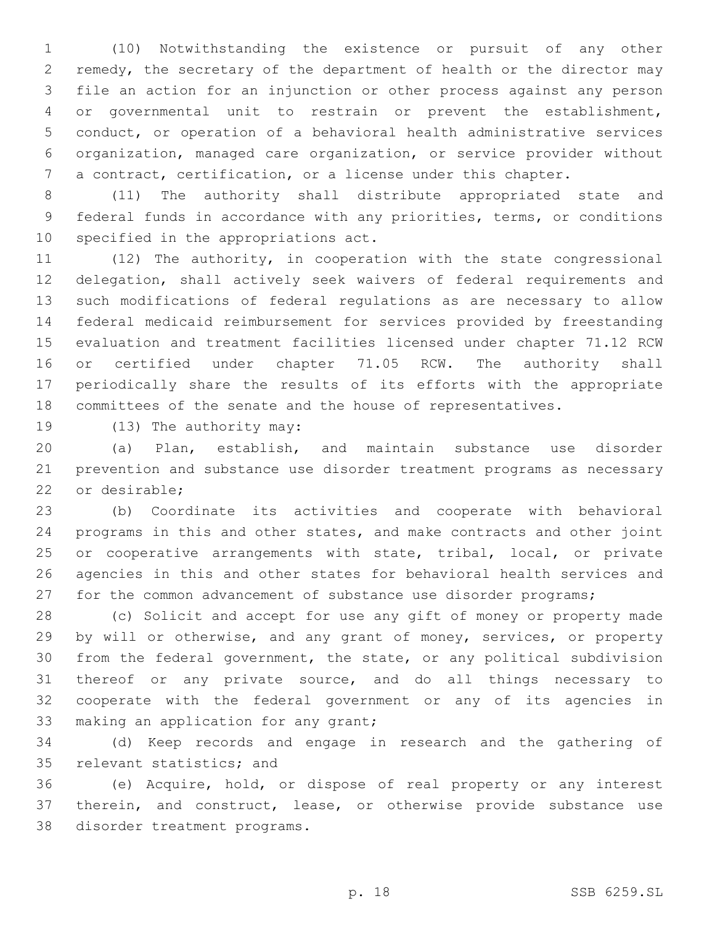(10) Notwithstanding the existence or pursuit of any other remedy, the secretary of the department of health or the director may file an action for an injunction or other process against any person or governmental unit to restrain or prevent the establishment, conduct, or operation of a behavioral health administrative services organization, managed care organization, or service provider without a contract, certification, or a license under this chapter.

 (11) The authority shall distribute appropriated state and federal funds in accordance with any priorities, terms, or conditions 10 specified in the appropriations act.

 (12) The authority, in cooperation with the state congressional delegation, shall actively seek waivers of federal requirements and such modifications of federal regulations as are necessary to allow federal medicaid reimbursement for services provided by freestanding evaluation and treatment facilities licensed under chapter 71.12 RCW 16 or certified under chapter 71.05 RCW. The authority shall periodically share the results of its efforts with the appropriate committees of the senate and the house of representatives.

19 (13) The authority may:

 (a) Plan, establish, and maintain substance use disorder prevention and substance use disorder treatment programs as necessary 22 or desirable;

 (b) Coordinate its activities and cooperate with behavioral programs in this and other states, and make contracts and other joint 25 or cooperative arrangements with state, tribal, local, or private agencies in this and other states for behavioral health services and for the common advancement of substance use disorder programs;

 (c) Solicit and accept for use any gift of money or property made by will or otherwise, and any grant of money, services, or property from the federal government, the state, or any political subdivision thereof or any private source, and do all things necessary to cooperate with the federal government or any of its agencies in 33 making an application for any grant;

 (d) Keep records and engage in research and the gathering of 35 relevant statistics; and

 (e) Acquire, hold, or dispose of real property or any interest therein, and construct, lease, or otherwise provide substance use 38 disorder treatment programs.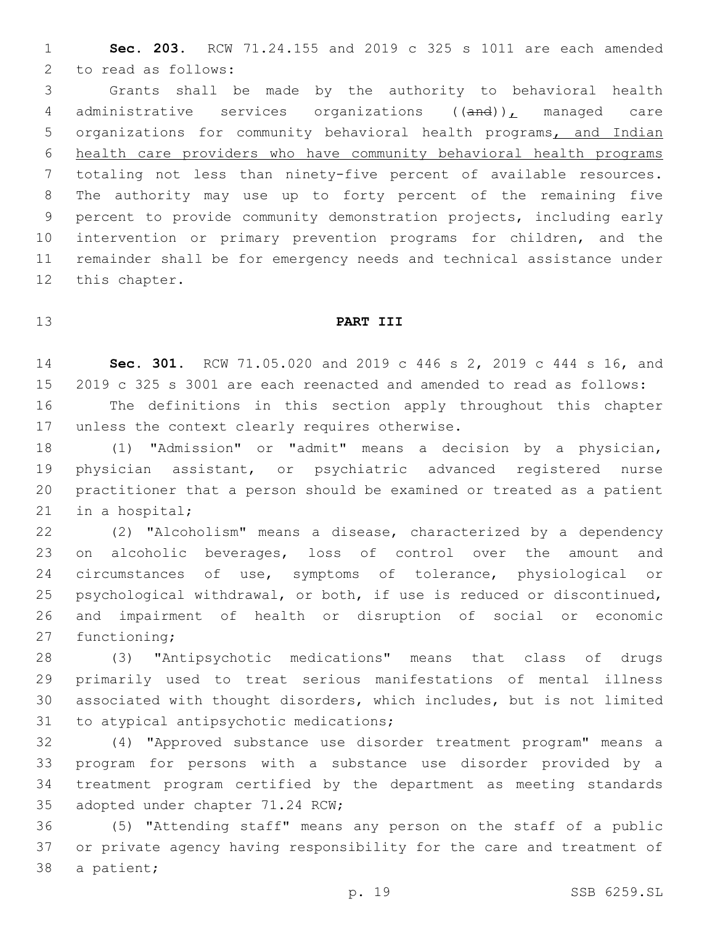**Sec. 203.** RCW 71.24.155 and 2019 c 325 s 1011 are each amended 2 to read as follows:

 Grants shall be made by the authority to behavioral health 4 administrative services organizations ((and)), managed care organizations for community behavioral health programs, and Indian health care providers who have community behavioral health programs totaling not less than ninety-five percent of available resources. The authority may use up to forty percent of the remaining five percent to provide community demonstration projects, including early intervention or primary prevention programs for children, and the remainder shall be for emergency needs and technical assistance under 12 this chapter.

## **PART III**

 **Sec. 301.** RCW 71.05.020 and 2019 c 446 s 2, 2019 c 444 s 16, and 2019 c 325 s 3001 are each reenacted and amended to read as follows:

 The definitions in this section apply throughout this chapter 17 unless the context clearly requires otherwise.

 (1) "Admission" or "admit" means a decision by a physician, physician assistant, or psychiatric advanced registered nurse practitioner that a person should be examined or treated as a patient 21 in a hospital;

 (2) "Alcoholism" means a disease, characterized by a dependency 23 on alcoholic beverages, loss of control over the amount and circumstances of use, symptoms of tolerance, physiological or psychological withdrawal, or both, if use is reduced or discontinued, and impairment of health or disruption of social or economic 27 functioning;

 (3) "Antipsychotic medications" means that class of drugs primarily used to treat serious manifestations of mental illness associated with thought disorders, which includes, but is not limited 31 to atypical antipsychotic medications;

 (4) "Approved substance use disorder treatment program" means a program for persons with a substance use disorder provided by a treatment program certified by the department as meeting standards 35 adopted under chapter 71.24 RCW;

 (5) "Attending staff" means any person on the staff of a public or private agency having responsibility for the care and treatment of 38 a patient;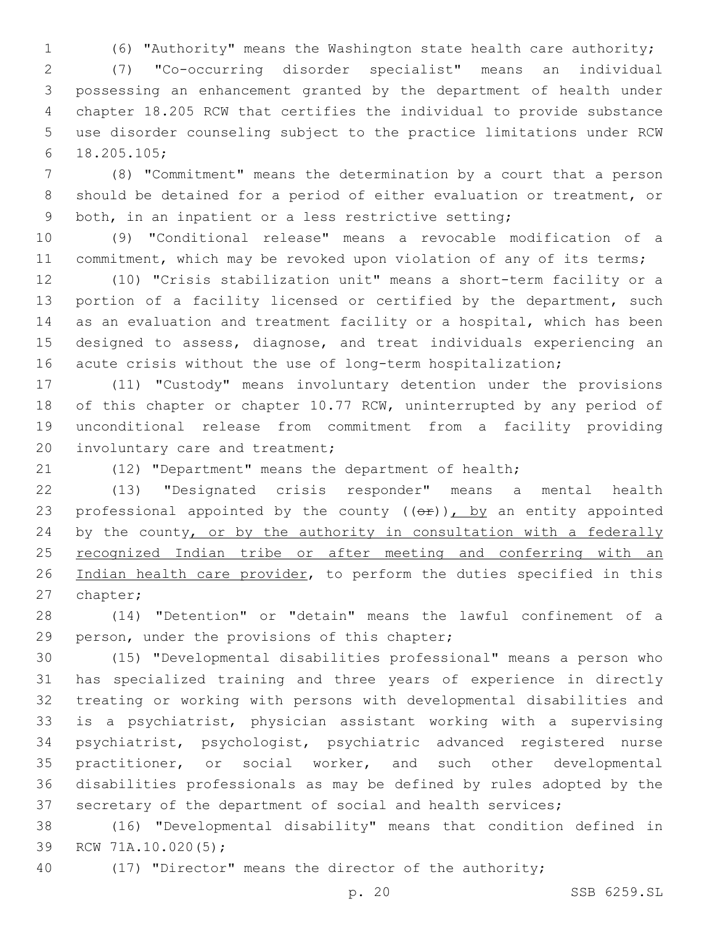(6) "Authority" means the Washington state health care authority;

 (7) "Co-occurring disorder specialist" means an individual possessing an enhancement granted by the department of health under chapter 18.205 RCW that certifies the individual to provide substance use disorder counseling subject to the practice limitations under RCW 18.205.105;6

 (8) "Commitment" means the determination by a court that a person should be detained for a period of either evaluation or treatment, or both, in an inpatient or a less restrictive setting;

 (9) "Conditional release" means a revocable modification of a 11 commitment, which may be revoked upon violation of any of its terms;

 (10) "Crisis stabilization unit" means a short-term facility or a 13 portion of a facility licensed or certified by the department, such as an evaluation and treatment facility or a hospital, which has been designed to assess, diagnose, and treat individuals experiencing an 16 acute crisis without the use of long-term hospitalization;

 (11) "Custody" means involuntary detention under the provisions 18 of this chapter or chapter 10.77 RCW, uninterrupted by any period of unconditional release from commitment from a facility providing 20 involuntary care and treatment;

(12) "Department" means the department of health;

 (13) "Designated crisis responder" means a mental health 23 professional appointed by the county  $((e^p)^n)$ , by an entity appointed 24 by the county, or by the authority in consultation with a federally 25 recognized Indian tribe or after meeting and conferring with an 26 Indian health care provider, to perform the duties specified in this 27 chapter;

 (14) "Detention" or "detain" means the lawful confinement of a 29 person, under the provisions of this chapter;

 (15) "Developmental disabilities professional" means a person who has specialized training and three years of experience in directly treating or working with persons with developmental disabilities and is a psychiatrist, physician assistant working with a supervising psychiatrist, psychologist, psychiatric advanced registered nurse practitioner, or social worker, and such other developmental disabilities professionals as may be defined by rules adopted by the secretary of the department of social and health services;

 (16) "Developmental disability" means that condition defined in 39 RCW 71A.10.020(5);

(17) "Director" means the director of the authority;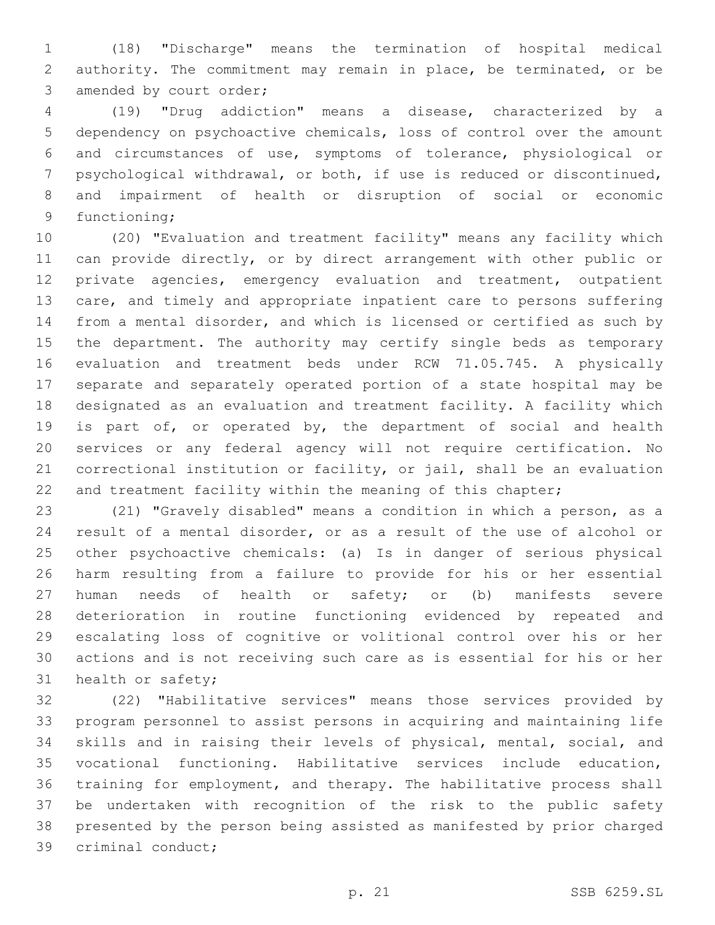(18) "Discharge" means the termination of hospital medical authority. The commitment may remain in place, be terminated, or be 3 amended by court order;

 (19) "Drug addiction" means a disease, characterized by a dependency on psychoactive chemicals, loss of control over the amount and circumstances of use, symptoms of tolerance, physiological or psychological withdrawal, or both, if use is reduced or discontinued, and impairment of health or disruption of social or economic 9 functioning;

 (20) "Evaluation and treatment facility" means any facility which can provide directly, or by direct arrangement with other public or private agencies, emergency evaluation and treatment, outpatient care, and timely and appropriate inpatient care to persons suffering from a mental disorder, and which is licensed or certified as such by the department. The authority may certify single beds as temporary evaluation and treatment beds under RCW 71.05.745. A physically separate and separately operated portion of a state hospital may be designated as an evaluation and treatment facility. A facility which is part of, or operated by, the department of social and health services or any federal agency will not require certification. No correctional institution or facility, or jail, shall be an evaluation 22 and treatment facility within the meaning of this chapter;

 (21) "Gravely disabled" means a condition in which a person, as a result of a mental disorder, or as a result of the use of alcohol or other psychoactive chemicals: (a) Is in danger of serious physical harm resulting from a failure to provide for his or her essential human needs of health or safety; or (b) manifests severe deterioration in routine functioning evidenced by repeated and escalating loss of cognitive or volitional control over his or her actions and is not receiving such care as is essential for his or her 31 health or safety;

 (22) "Habilitative services" means those services provided by program personnel to assist persons in acquiring and maintaining life skills and in raising their levels of physical, mental, social, and vocational functioning. Habilitative services include education, training for employment, and therapy. The habilitative process shall be undertaken with recognition of the risk to the public safety presented by the person being assisted as manifested by prior charged 39 criminal conduct;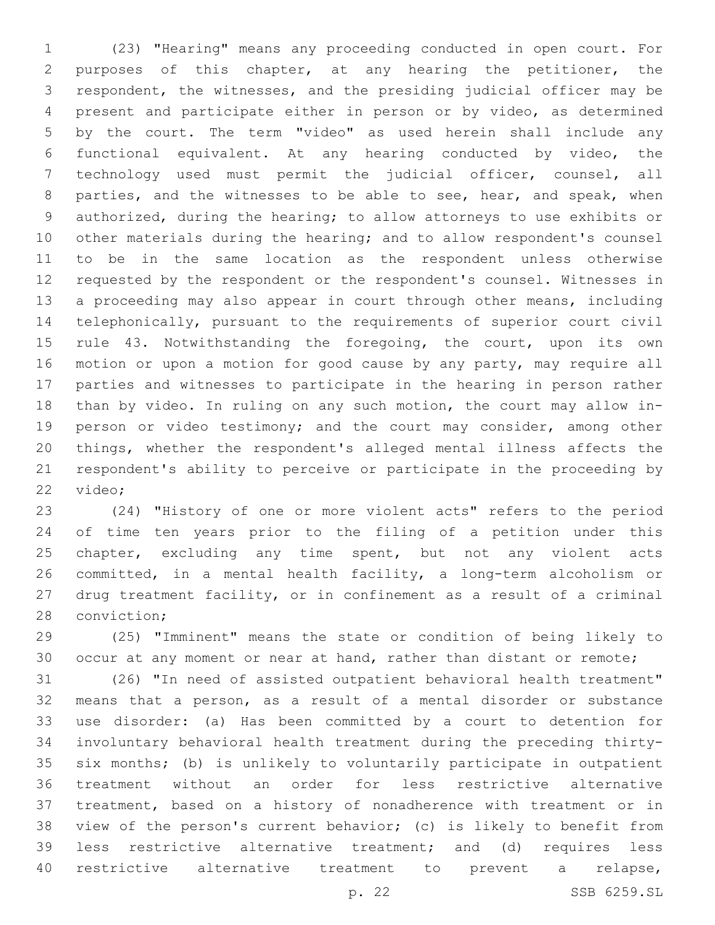(23) "Hearing" means any proceeding conducted in open court. For purposes of this chapter, at any hearing the petitioner, the respondent, the witnesses, and the presiding judicial officer may be present and participate either in person or by video, as determined by the court. The term "video" as used herein shall include any functional equivalent. At any hearing conducted by video, the technology used must permit the judicial officer, counsel, all 8 parties, and the witnesses to be able to see, hear, and speak, when authorized, during the hearing; to allow attorneys to use exhibits or other materials during the hearing; and to allow respondent's counsel to be in the same location as the respondent unless otherwise requested by the respondent or the respondent's counsel. Witnesses in a proceeding may also appear in court through other means, including telephonically, pursuant to the requirements of superior court civil 15 rule 43. Notwithstanding the foregoing, the court, upon its own 16 motion or upon a motion for good cause by any party, may require all parties and witnesses to participate in the hearing in person rather than by video. In ruling on any such motion, the court may allow in- person or video testimony; and the court may consider, among other things, whether the respondent's alleged mental illness affects the respondent's ability to perceive or participate in the proceeding by 22 video;

 (24) "History of one or more violent acts" refers to the period of time ten years prior to the filing of a petition under this 25 chapter, excluding any time spent, but not any violent acts committed, in a mental health facility, a long-term alcoholism or drug treatment facility, or in confinement as a result of a criminal 28 conviction;

 (25) "Imminent" means the state or condition of being likely to 30 occur at any moment or near at hand, rather than distant or remote;

 (26) "In need of assisted outpatient behavioral health treatment" means that a person, as a result of a mental disorder or substance use disorder: (a) Has been committed by a court to detention for involuntary behavioral health treatment during the preceding thirty- six months; (b) is unlikely to voluntarily participate in outpatient treatment without an order for less restrictive alternative treatment, based on a history of nonadherence with treatment or in view of the person's current behavior; (c) is likely to benefit from less restrictive alternative treatment; and (d) requires less restrictive alternative treatment to prevent a relapse,

p. 22 SSB 6259.SL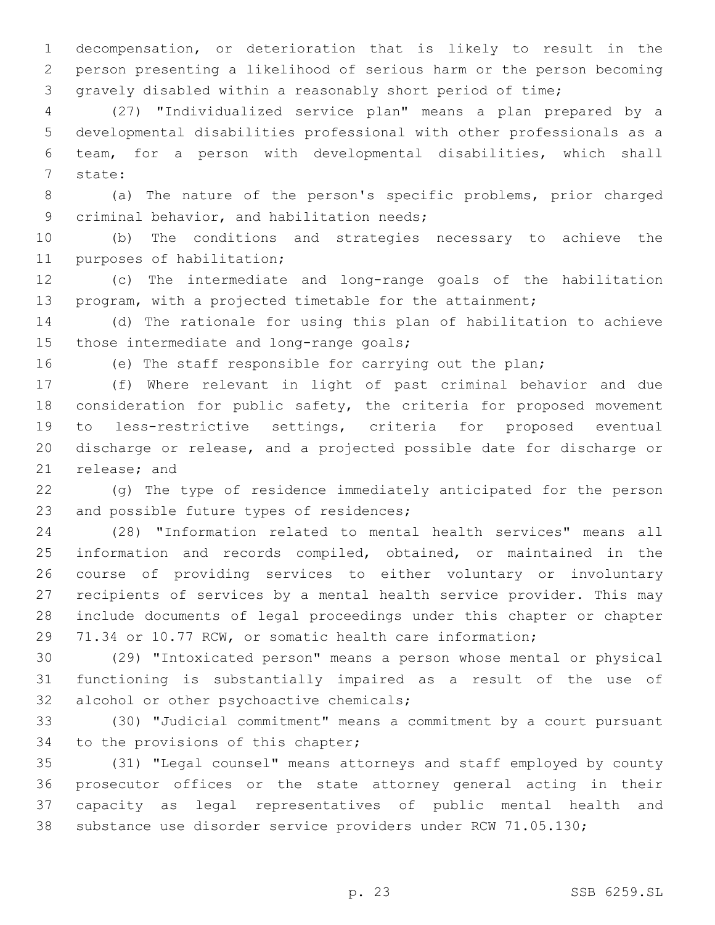decompensation, or deterioration that is likely to result in the person presenting a likelihood of serious harm or the person becoming gravely disabled within a reasonably short period of time;

 (27) "Individualized service plan" means a plan prepared by a developmental disabilities professional with other professionals as a team, for a person with developmental disabilities, which shall 7 state:

 (a) The nature of the person's specific problems, prior charged 9 criminal behavior, and habilitation needs;

 (b) The conditions and strategies necessary to achieve the 11 purposes of habilitation;

 (c) The intermediate and long-range goals of the habilitation program, with a projected timetable for the attainment;

 (d) The rationale for using this plan of habilitation to achieve 15 those intermediate and long-range goals;

(e) The staff responsible for carrying out the plan;

 (f) Where relevant in light of past criminal behavior and due consideration for public safety, the criteria for proposed movement to less-restrictive settings, criteria for proposed eventual discharge or release, and a projected possible date for discharge or 21 release; and

 (g) The type of residence immediately anticipated for the person 23 and possible future types of residences;

 (28) "Information related to mental health services" means all information and records compiled, obtained, or maintained in the course of providing services to either voluntary or involuntary recipients of services by a mental health service provider. This may include documents of legal proceedings under this chapter or chapter 71.34 or 10.77 RCW, or somatic health care information;

 (29) "Intoxicated person" means a person whose mental or physical functioning is substantially impaired as a result of the use of 32 alcohol or other psychoactive chemicals;

 (30) "Judicial commitment" means a commitment by a court pursuant 34 to the provisions of this chapter;

 (31) "Legal counsel" means attorneys and staff employed by county prosecutor offices or the state attorney general acting in their capacity as legal representatives of public mental health and substance use disorder service providers under RCW 71.05.130;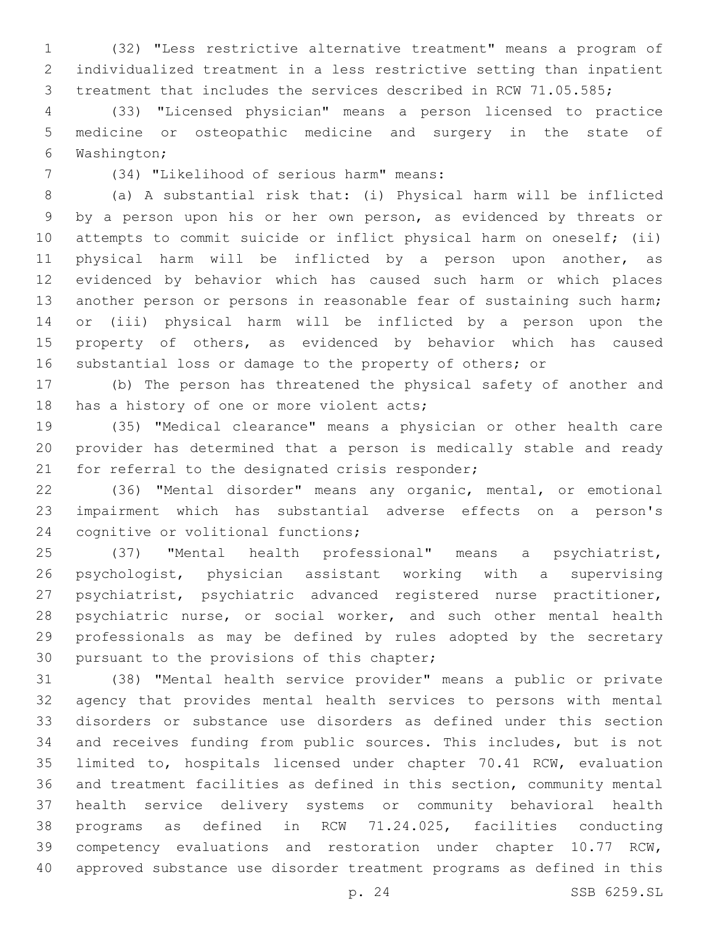(32) "Less restrictive alternative treatment" means a program of individualized treatment in a less restrictive setting than inpatient treatment that includes the services described in RCW 71.05.585;

 (33) "Licensed physician" means a person licensed to practice medicine or osteopathic medicine and surgery in the state of Washington;6

(34) "Likelihood of serious harm" means:7

 (a) A substantial risk that: (i) Physical harm will be inflicted by a person upon his or her own person, as evidenced by threats or attempts to commit suicide or inflict physical harm on oneself; (ii) physical harm will be inflicted by a person upon another, as evidenced by behavior which has caused such harm or which places another person or persons in reasonable fear of sustaining such harm; or (iii) physical harm will be inflicted by a person upon the property of others, as evidenced by behavior which has caused substantial loss or damage to the property of others; or

 (b) The person has threatened the physical safety of another and 18 has a history of one or more violent acts;

 (35) "Medical clearance" means a physician or other health care provider has determined that a person is medically stable and ready 21 for referral to the designated crisis responder;

 (36) "Mental disorder" means any organic, mental, or emotional impairment which has substantial adverse effects on a person's 24 cognitive or volitional functions;

 (37) "Mental health professional" means a psychiatrist, psychologist, physician assistant working with a supervising psychiatrist, psychiatric advanced registered nurse practitioner, 28 psychiatric nurse, or social worker, and such other mental health professionals as may be defined by rules adopted by the secretary 30 pursuant to the provisions of this chapter;

 (38) "Mental health service provider" means a public or private agency that provides mental health services to persons with mental disorders or substance use disorders as defined under this section and receives funding from public sources. This includes, but is not limited to, hospitals licensed under chapter 70.41 RCW, evaluation and treatment facilities as defined in this section, community mental health service delivery systems or community behavioral health programs as defined in RCW 71.24.025, facilities conducting competency evaluations and restoration under chapter 10.77 RCW, approved substance use disorder treatment programs as defined in this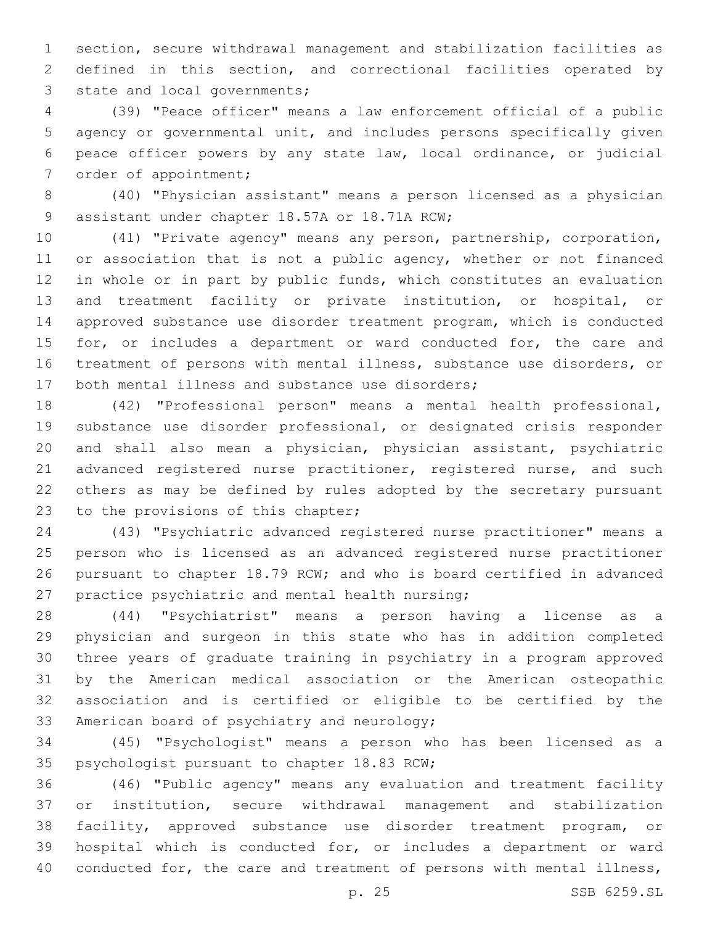section, secure withdrawal management and stabilization facilities as defined in this section, and correctional facilities operated by 3 state and local governments;

 (39) "Peace officer" means a law enforcement official of a public agency or governmental unit, and includes persons specifically given peace officer powers by any state law, local ordinance, or judicial 7 order of appointment;

 (40) "Physician assistant" means a person licensed as a physician 9 assistant under chapter 18.57A or 18.71A RCW;

 (41) "Private agency" means any person, partnership, corporation, 11 or association that is not a public agency, whether or not financed in whole or in part by public funds, which constitutes an evaluation and treatment facility or private institution, or hospital, or approved substance use disorder treatment program, which is conducted 15 for, or includes a department or ward conducted for, the care and treatment of persons with mental illness, substance use disorders, or 17 both mental illness and substance use disorders;

 (42) "Professional person" means a mental health professional, substance use disorder professional, or designated crisis responder and shall also mean a physician, physician assistant, psychiatric 21 advanced registered nurse practitioner, registered nurse, and such others as may be defined by rules adopted by the secretary pursuant 23 to the provisions of this chapter;

 (43) "Psychiatric advanced registered nurse practitioner" means a person who is licensed as an advanced registered nurse practitioner pursuant to chapter 18.79 RCW; and who is board certified in advanced 27 practice psychiatric and mental health nursing;

 (44) "Psychiatrist" means a person having a license as a physician and surgeon in this state who has in addition completed three years of graduate training in psychiatry in a program approved by the American medical association or the American osteopathic association and is certified or eligible to be certified by the 33 American board of psychiatry and neurology;

 (45) "Psychologist" means a person who has been licensed as a 35 psychologist pursuant to chapter 18.83 RCW;

 (46) "Public agency" means any evaluation and treatment facility or institution, secure withdrawal management and stabilization facility, approved substance use disorder treatment program, or hospital which is conducted for, or includes a department or ward 40 conducted for, the care and treatment of persons with mental illness,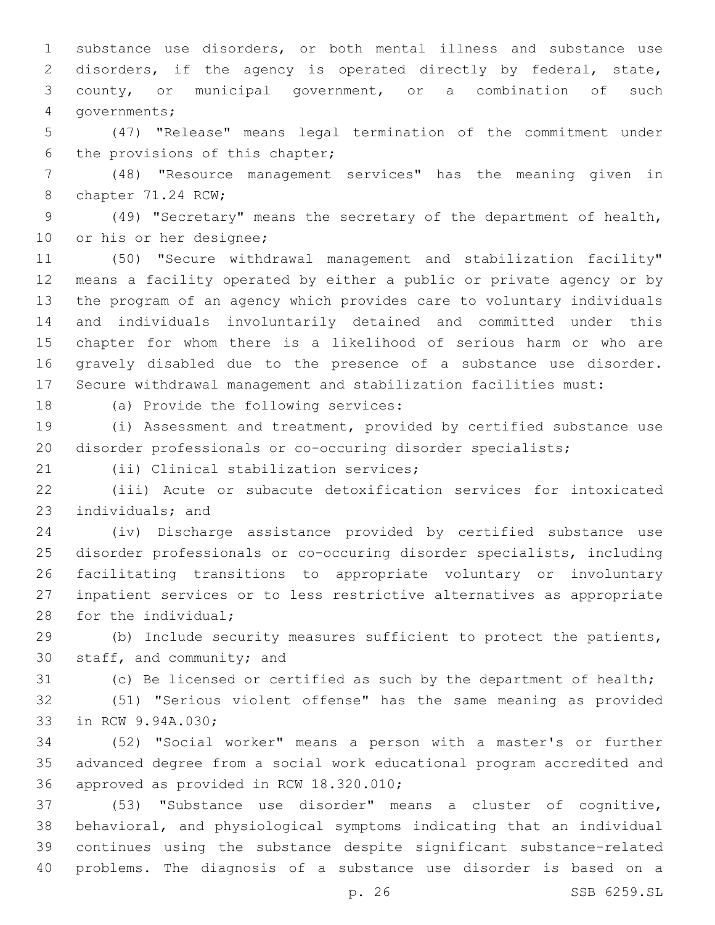substance use disorders, or both mental illness and substance use disorders, if the agency is operated directly by federal, state, county, or municipal government, or a combination of such 4 qovernments;

 (47) "Release" means legal termination of the commitment under 6 the provisions of this chapter;

 (48) "Resource management services" has the meaning given in 8 chapter 71.24 RCW;

 (49) "Secretary" means the secretary of the department of health, 10 or his or her designee;

 (50) "Secure withdrawal management and stabilization facility" means a facility operated by either a public or private agency or by the program of an agency which provides care to voluntary individuals and individuals involuntarily detained and committed under this chapter for whom there is a likelihood of serious harm or who are gravely disabled due to the presence of a substance use disorder. Secure withdrawal management and stabilization facilities must:

18 (a) Provide the following services:

 (i) Assessment and treatment, provided by certified substance use disorder professionals or co-occuring disorder specialists;

21 (ii) Clinical stabilization services;

 (iii) Acute or subacute detoxification services for intoxicated 23 individuals; and

 (iv) Discharge assistance provided by certified substance use disorder professionals or co-occuring disorder specialists, including facilitating transitions to appropriate voluntary or involuntary inpatient services or to less restrictive alternatives as appropriate 28 for the individual;

 (b) Include security measures sufficient to protect the patients, 30 staff, and community; and

(c) Be licensed or certified as such by the department of health;

 (51) "Serious violent offense" has the same meaning as provided 33 in RCW 9.94A.030;

 (52) "Social worker" means a person with a master's or further advanced degree from a social work educational program accredited and 36 approved as provided in RCW 18.320.010;

 (53) "Substance use disorder" means a cluster of cognitive, behavioral, and physiological symptoms indicating that an individual continues using the substance despite significant substance-related problems. The diagnosis of a substance use disorder is based on a

p. 26 SSB 6259.SL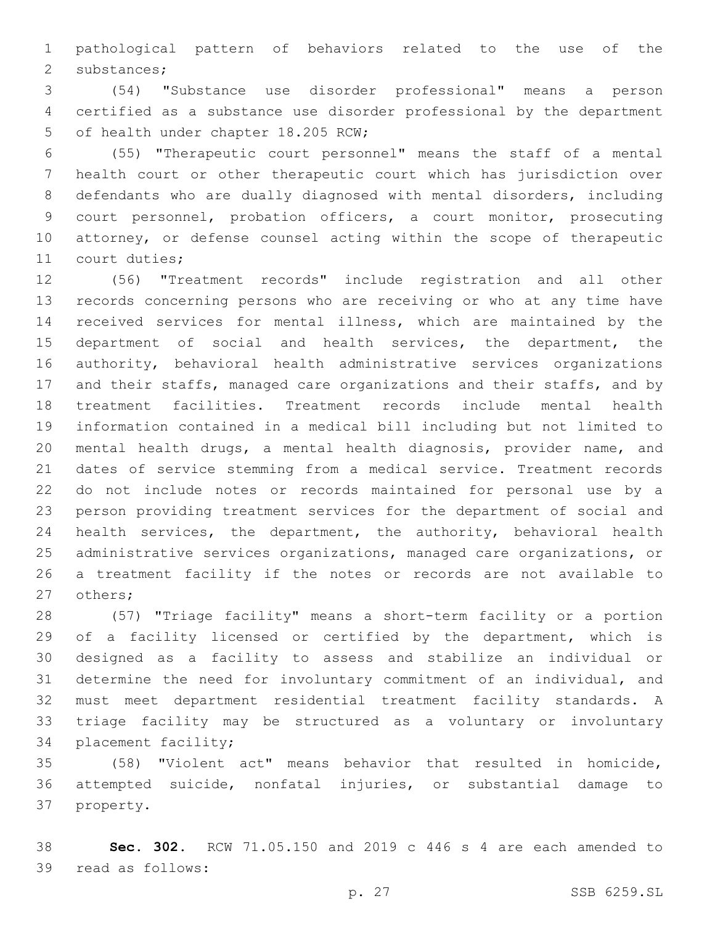pathological pattern of behaviors related to the use of the 2 substances;

 (54) "Substance use disorder professional" means a person certified as a substance use disorder professional by the department 5 of health under chapter 18.205 RCW;

 (55) "Therapeutic court personnel" means the staff of a mental health court or other therapeutic court which has jurisdiction over defendants who are dually diagnosed with mental disorders, including court personnel, probation officers, a court monitor, prosecuting attorney, or defense counsel acting within the scope of therapeutic 11 court duties;

 (56) "Treatment records" include registration and all other records concerning persons who are receiving or who at any time have received services for mental illness, which are maintained by the department of social and health services, the department, the authority, behavioral health administrative services organizations and their staffs, managed care organizations and their staffs, and by treatment facilities. Treatment records include mental health information contained in a medical bill including but not limited to mental health drugs, a mental health diagnosis, provider name, and dates of service stemming from a medical service. Treatment records do not include notes or records maintained for personal use by a person providing treatment services for the department of social and health services, the department, the authority, behavioral health administrative services organizations, managed care organizations, or a treatment facility if the notes or records are not available to 27 others;

 (57) "Triage facility" means a short-term facility or a portion of a facility licensed or certified by the department, which is designed as a facility to assess and stabilize an individual or determine the need for involuntary commitment of an individual, and must meet department residential treatment facility standards. A triage facility may be structured as a voluntary or involuntary 34 placement facility;

 (58) "Violent act" means behavior that resulted in homicide, attempted suicide, nonfatal injuries, or substantial damage to 37 property.

 **Sec. 302.** RCW 71.05.150 and 2019 c 446 s 4 are each amended to 39 read as follows: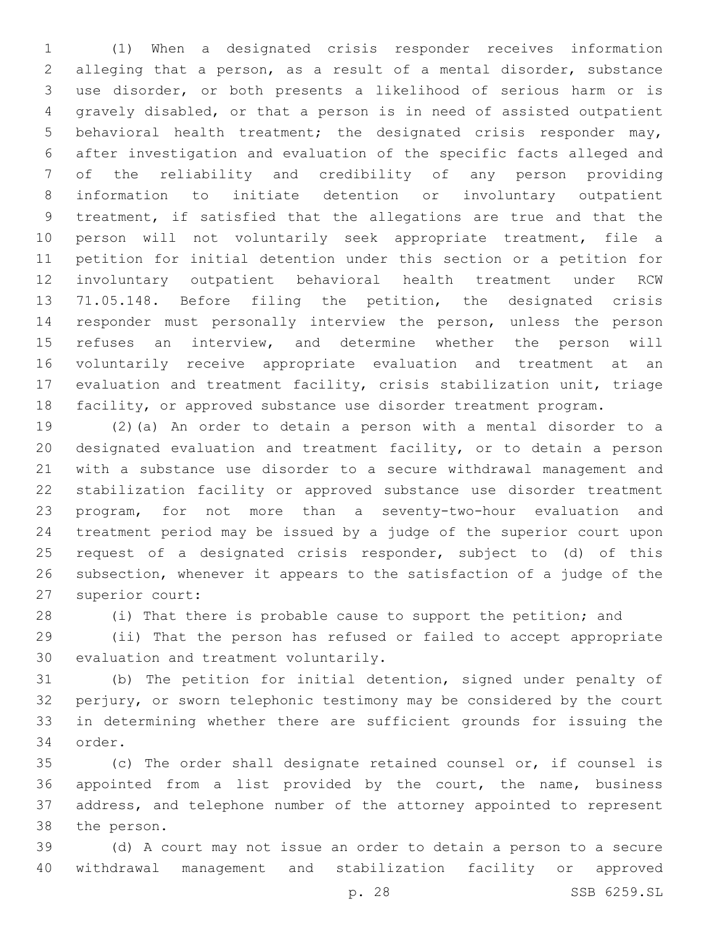(1) When a designated crisis responder receives information alleging that a person, as a result of a mental disorder, substance use disorder, or both presents a likelihood of serious harm or is gravely disabled, or that a person is in need of assisted outpatient behavioral health treatment; the designated crisis responder may, after investigation and evaluation of the specific facts alleged and of the reliability and credibility of any person providing information to initiate detention or involuntary outpatient treatment, if satisfied that the allegations are true and that the person will not voluntarily seek appropriate treatment, file a petition for initial detention under this section or a petition for involuntary outpatient behavioral health treatment under RCW 71.05.148. Before filing the petition, the designated crisis responder must personally interview the person, unless the person refuses an interview, and determine whether the person will voluntarily receive appropriate evaluation and treatment at an evaluation and treatment facility, crisis stabilization unit, triage facility, or approved substance use disorder treatment program.

 (2)(a) An order to detain a person with a mental disorder to a designated evaluation and treatment facility, or to detain a person with a substance use disorder to a secure withdrawal management and stabilization facility or approved substance use disorder treatment program, for not more than a seventy-two-hour evaluation and treatment period may be issued by a judge of the superior court upon request of a designated crisis responder, subject to (d) of this subsection, whenever it appears to the satisfaction of a judge of the 27 superior court:

(i) That there is probable cause to support the petition; and

 (ii) That the person has refused or failed to accept appropriate 30 evaluation and treatment voluntarily.

 (b) The petition for initial detention, signed under penalty of perjury, or sworn telephonic testimony may be considered by the court in determining whether there are sufficient grounds for issuing the 34 order.

 (c) The order shall designate retained counsel or, if counsel is appointed from a list provided by the court, the name, business address, and telephone number of the attorney appointed to represent 38 the person.

 (d) A court may not issue an order to detain a person to a secure withdrawal management and stabilization facility or approved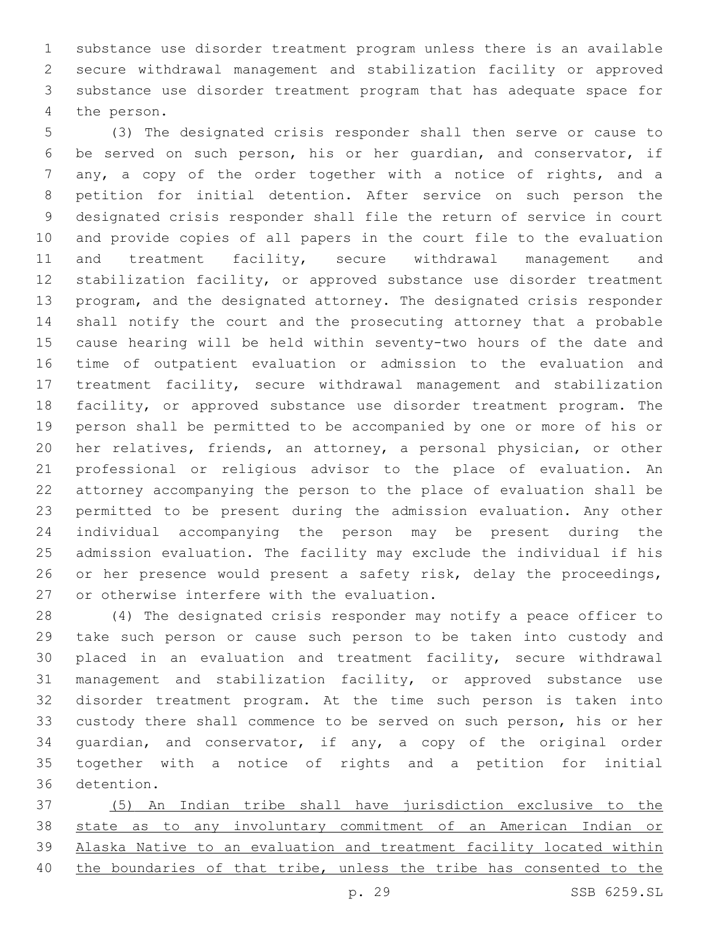substance use disorder treatment program unless there is an available secure withdrawal management and stabilization facility or approved substance use disorder treatment program that has adequate space for 4 the person.

 (3) The designated crisis responder shall then serve or cause to be served on such person, his or her guardian, and conservator, if any, a copy of the order together with a notice of rights, and a petition for initial detention. After service on such person the designated crisis responder shall file the return of service in court and provide copies of all papers in the court file to the evaluation and treatment facility, secure withdrawal management and stabilization facility, or approved substance use disorder treatment program, and the designated attorney. The designated crisis responder shall notify the court and the prosecuting attorney that a probable cause hearing will be held within seventy-two hours of the date and time of outpatient evaluation or admission to the evaluation and treatment facility, secure withdrawal management and stabilization facility, or approved substance use disorder treatment program. The person shall be permitted to be accompanied by one or more of his or her relatives, friends, an attorney, a personal physician, or other professional or religious advisor to the place of evaluation. An attorney accompanying the person to the place of evaluation shall be permitted to be present during the admission evaluation. Any other individual accompanying the person may be present during the admission evaluation. The facility may exclude the individual if his 26 or her presence would present a safety risk, delay the proceedings, 27 or otherwise interfere with the evaluation.

 (4) The designated crisis responder may notify a peace officer to take such person or cause such person to be taken into custody and placed in an evaluation and treatment facility, secure withdrawal management and stabilization facility, or approved substance use disorder treatment program. At the time such person is taken into custody there shall commence to be served on such person, his or her guardian, and conservator, if any, a copy of the original order together with a notice of rights and a petition for initial 36 detention.

 (5) An Indian tribe shall have jurisdiction exclusive to the state as to any involuntary commitment of an American Indian or Alaska Native to an evaluation and treatment facility located within the boundaries of that tribe, unless the tribe has consented to the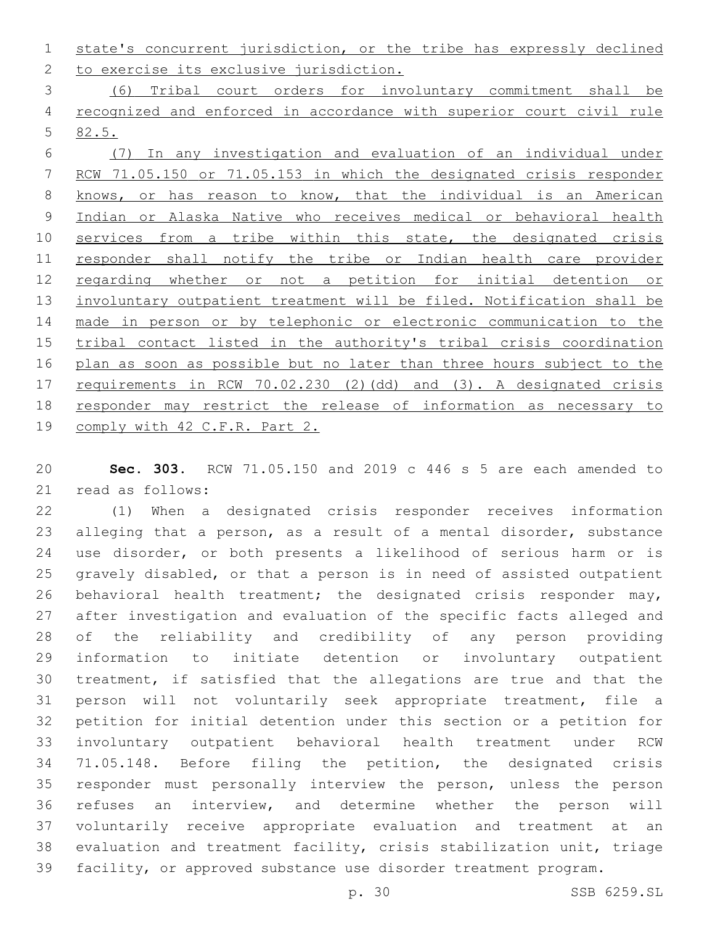state's concurrent jurisdiction, or the tribe has expressly declined 2 to exercise its exclusive jurisdiction.

 (6) Tribal court orders for involuntary commitment shall be recognized and enforced in accordance with superior court civil rule 82.5.

 (7) In any investigation and evaluation of an individual under RCW 71.05.150 or 71.05.153 in which the designated crisis responder knows, or has reason to know, that the individual is an American Indian or Alaska Native who receives medical or behavioral health 10 services from a tribe within this state, the designated crisis responder shall notify the tribe or Indian health care provider regarding whether or not a petition for initial detention or 13 involuntary outpatient treatment will be filed. Notification shall be made in person or by telephonic or electronic communication to the tribal contact listed in the authority's tribal crisis coordination plan as soon as possible but no later than three hours subject to the requirements in RCW 70.02.230 (2)(dd) and (3). A designated crisis responder may restrict the release of information as necessary to 19 comply with 42 C.F.R. Part 2.

 **Sec. 303.** RCW 71.05.150 and 2019 c 446 s 5 are each amended to 21 read as follows:

 (1) When a designated crisis responder receives information alleging that a person, as a result of a mental disorder, substance use disorder, or both presents a likelihood of serious harm or is gravely disabled, or that a person is in need of assisted outpatient behavioral health treatment; the designated crisis responder may, after investigation and evaluation of the specific facts alleged and of the reliability and credibility of any person providing information to initiate detention or involuntary outpatient treatment, if satisfied that the allegations are true and that the person will not voluntarily seek appropriate treatment, file a petition for initial detention under this section or a petition for involuntary outpatient behavioral health treatment under RCW 71.05.148. Before filing the petition, the designated crisis responder must personally interview the person, unless the person refuses an interview, and determine whether the person will voluntarily receive appropriate evaluation and treatment at an evaluation and treatment facility, crisis stabilization unit, triage facility, or approved substance use disorder treatment program.

p. 30 SSB 6259.SL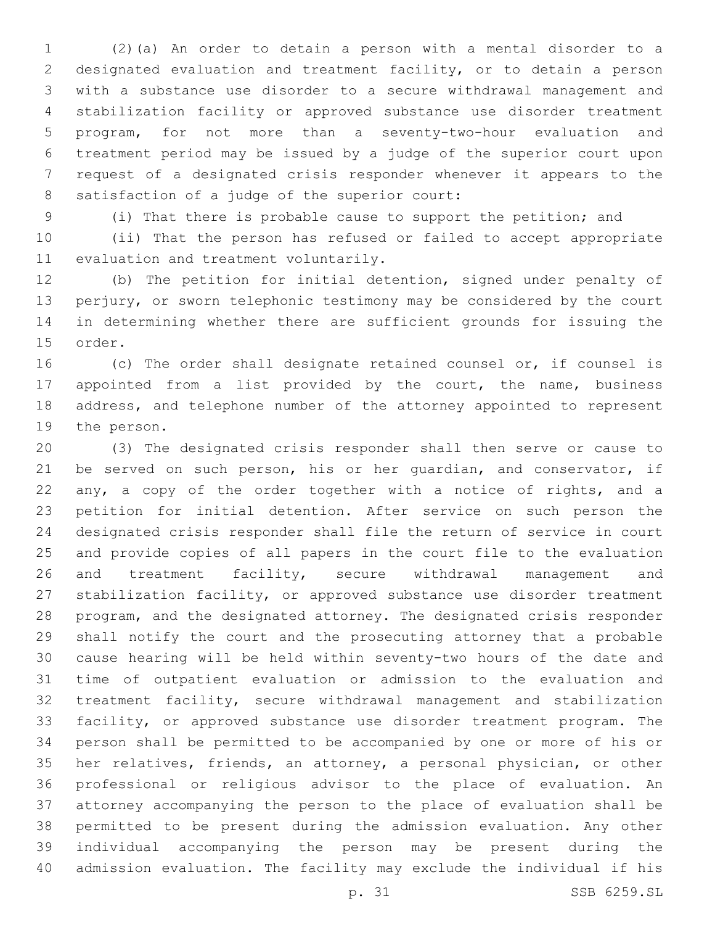(2)(a) An order to detain a person with a mental disorder to a designated evaluation and treatment facility, or to detain a person with a substance use disorder to a secure withdrawal management and stabilization facility or approved substance use disorder treatment program, for not more than a seventy-two-hour evaluation and treatment period may be issued by a judge of the superior court upon request of a designated crisis responder whenever it appears to the 8 satisfaction of a judge of the superior court:

(i) That there is probable cause to support the petition; and

 (ii) That the person has refused or failed to accept appropriate 11 evaluation and treatment voluntarily.

 (b) The petition for initial detention, signed under penalty of perjury, or sworn telephonic testimony may be considered by the court in determining whether there are sufficient grounds for issuing the 15 order.

 (c) The order shall designate retained counsel or, if counsel is appointed from a list provided by the court, the name, business address, and telephone number of the attorney appointed to represent 19 the person.

 (3) The designated crisis responder shall then serve or cause to be served on such person, his or her guardian, and conservator, if any, a copy of the order together with a notice of rights, and a petition for initial detention. After service on such person the designated crisis responder shall file the return of service in court and provide copies of all papers in the court file to the evaluation and treatment facility, secure withdrawal management and 27 stabilization facility, or approved substance use disorder treatment program, and the designated attorney. The designated crisis responder shall notify the court and the prosecuting attorney that a probable cause hearing will be held within seventy-two hours of the date and time of outpatient evaluation or admission to the evaluation and treatment facility, secure withdrawal management and stabilization facility, or approved substance use disorder treatment program. The person shall be permitted to be accompanied by one or more of his or her relatives, friends, an attorney, a personal physician, or other professional or religious advisor to the place of evaluation. An attorney accompanying the person to the place of evaluation shall be permitted to be present during the admission evaluation. Any other individual accompanying the person may be present during the admission evaluation. The facility may exclude the individual if his

p. 31 SSB 6259.SL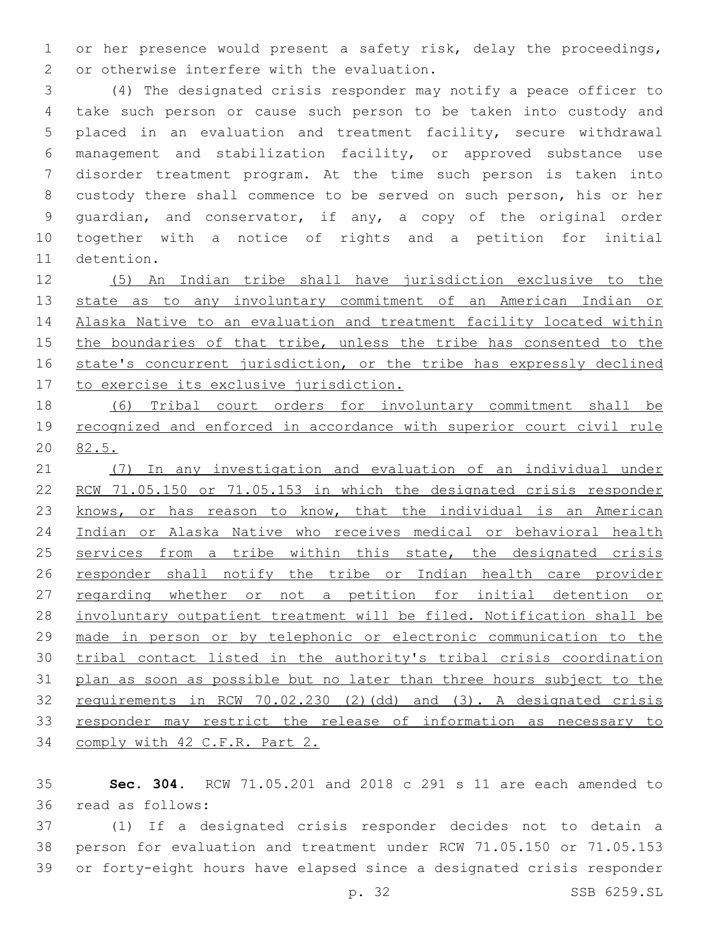or her presence would present a safety risk, delay the proceedings, 2 or otherwise interfere with the evaluation.

 (4) The designated crisis responder may notify a peace officer to take such person or cause such person to be taken into custody and placed in an evaluation and treatment facility, secure withdrawal management and stabilization facility, or approved substance use disorder treatment program. At the time such person is taken into custody there shall commence to be served on such person, his or her guardian, and conservator, if any, a copy of the original order together with a notice of rights and a petition for initial 11 detention.

 (5) An Indian tribe shall have jurisdiction exclusive to the state as to any involuntary commitment of an American Indian or Alaska Native to an evaluation and treatment facility located within 15 the boundaries of that tribe, unless the tribe has consented to the 16 state's concurrent jurisdiction, or the tribe has expressly declined 17 to exercise its exclusive jurisdiction.

 (6) Tribal court orders for involuntary commitment shall be 19 recognized and enforced in accordance with superior court civil rule 82.5.

 (7) In any investigation and evaluation of an individual under RCW 71.05.150 or 71.05.153 in which the designated crisis responder 23 knows, or has reason to know, that the individual is an American Indian or Alaska Native who receives medical or behavioral health 25 services from a tribe within this state, the designated crisis responder shall notify the tribe or Indian health care provider 27 regarding whether or not a petition for initial detention or involuntary outpatient treatment will be filed. Notification shall be made in person or by telephonic or electronic communication to the tribal contact listed in the authority's tribal crisis coordination plan as soon as possible but no later than three hours subject to the requirements in RCW 70.02.230 (2)(dd) and (3). A designated crisis responder may restrict the release of information as necessary to comply with 42 C.F.R. Part 2.

 **Sec. 304.** RCW 71.05.201 and 2018 c 291 s 11 are each amended to read as follows:36

 (1) If a designated crisis responder decides not to detain a person for evaluation and treatment under RCW 71.05.150 or 71.05.153 or forty-eight hours have elapsed since a designated crisis responder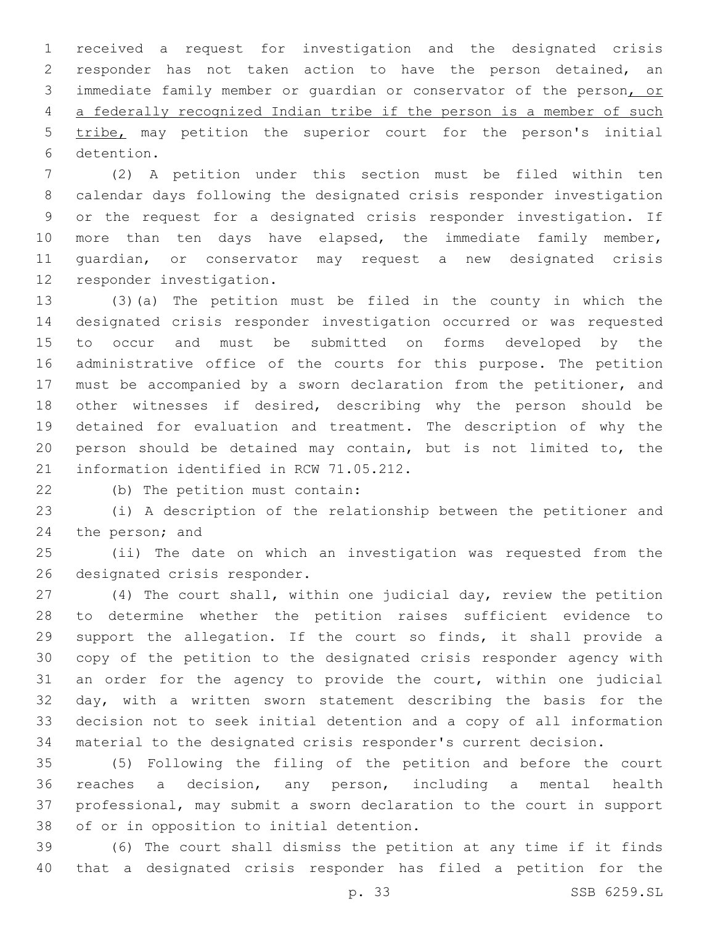received a request for investigation and the designated crisis responder has not taken action to have the person detained, an immediate family member or guardian or conservator of the person, or a federally recognized Indian tribe if the person is a member of such tribe, may petition the superior court for the person's initial 6 detention.

 (2) A petition under this section must be filed within ten calendar days following the designated crisis responder investigation or the request for a designated crisis responder investigation. If 10 more than ten days have elapsed, the immediate family member, guardian, or conservator may request a new designated crisis 12 responder investigation.

 (3)(a) The petition must be filed in the county in which the designated crisis responder investigation occurred or was requested to occur and must be submitted on forms developed by the administrative office of the courts for this purpose. The petition must be accompanied by a sworn declaration from the petitioner, and other witnesses if desired, describing why the person should be detained for evaluation and treatment. The description of why the person should be detained may contain, but is not limited to, the 21 information identified in RCW 71.05.212.

(b) The petition must contain:22

 (i) A description of the relationship between the petitioner and 24 the person; and

 (ii) The date on which an investigation was requested from the 26 designated crisis responder.

 (4) The court shall, within one judicial day, review the petition to determine whether the petition raises sufficient evidence to support the allegation. If the court so finds, it shall provide a copy of the petition to the designated crisis responder agency with an order for the agency to provide the court, within one judicial day, with a written sworn statement describing the basis for the decision not to seek initial detention and a copy of all information material to the designated crisis responder's current decision.

 (5) Following the filing of the petition and before the court reaches a decision, any person, including a mental health professional, may submit a sworn declaration to the court in support 38 of or in opposition to initial detention.

 (6) The court shall dismiss the petition at any time if it finds that a designated crisis responder has filed a petition for the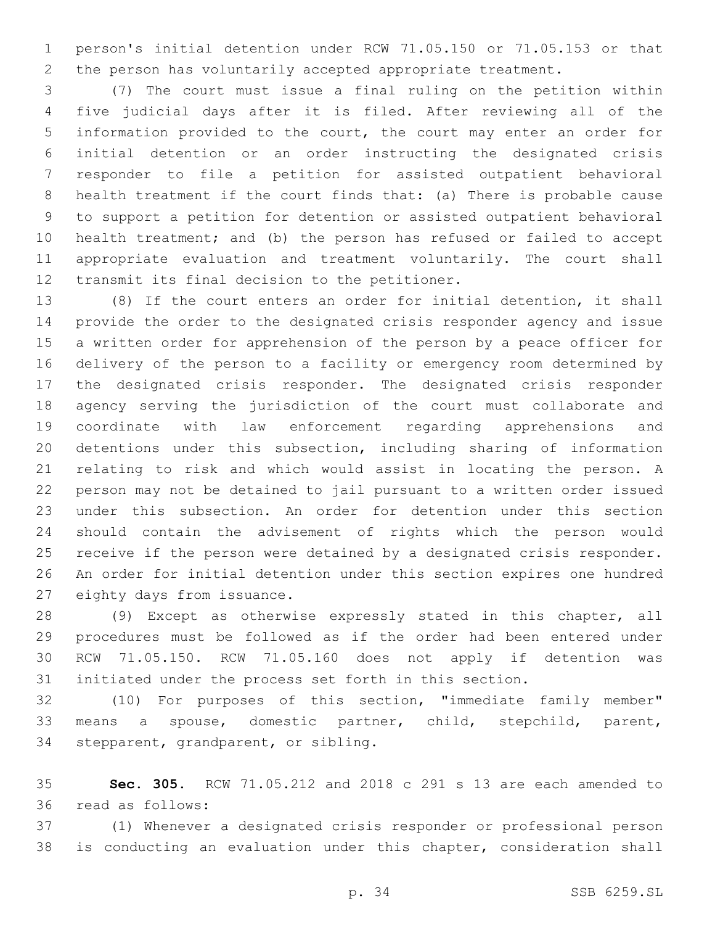person's initial detention under RCW 71.05.150 or 71.05.153 or that the person has voluntarily accepted appropriate treatment.

 (7) The court must issue a final ruling on the petition within five judicial days after it is filed. After reviewing all of the information provided to the court, the court may enter an order for initial detention or an order instructing the designated crisis responder to file a petition for assisted outpatient behavioral health treatment if the court finds that: (a) There is probable cause to support a petition for detention or assisted outpatient behavioral health treatment; and (b) the person has refused or failed to accept appropriate evaluation and treatment voluntarily. The court shall 12 transmit its final decision to the petitioner.

 (8) If the court enters an order for initial detention, it shall provide the order to the designated crisis responder agency and issue a written order for apprehension of the person by a peace officer for delivery of the person to a facility or emergency room determined by the designated crisis responder. The designated crisis responder agency serving the jurisdiction of the court must collaborate and coordinate with law enforcement regarding apprehensions and detentions under this subsection, including sharing of information relating to risk and which would assist in locating the person. A person may not be detained to jail pursuant to a written order issued under this subsection. An order for detention under this section should contain the advisement of rights which the person would receive if the person were detained by a designated crisis responder. An order for initial detention under this section expires one hundred 27 eighty days from issuance.

 (9) Except as otherwise expressly stated in this chapter, all procedures must be followed as if the order had been entered under RCW 71.05.150. RCW 71.05.160 does not apply if detention was initiated under the process set forth in this section.

 (10) For purposes of this section, "immediate family member" means a spouse, domestic partner, child, stepchild, parent, 34 stepparent, grandparent, or sibling.

 **Sec. 305.** RCW 71.05.212 and 2018 c 291 s 13 are each amended to 36 read as follows:

 (1) Whenever a designated crisis responder or professional person is conducting an evaluation under this chapter, consideration shall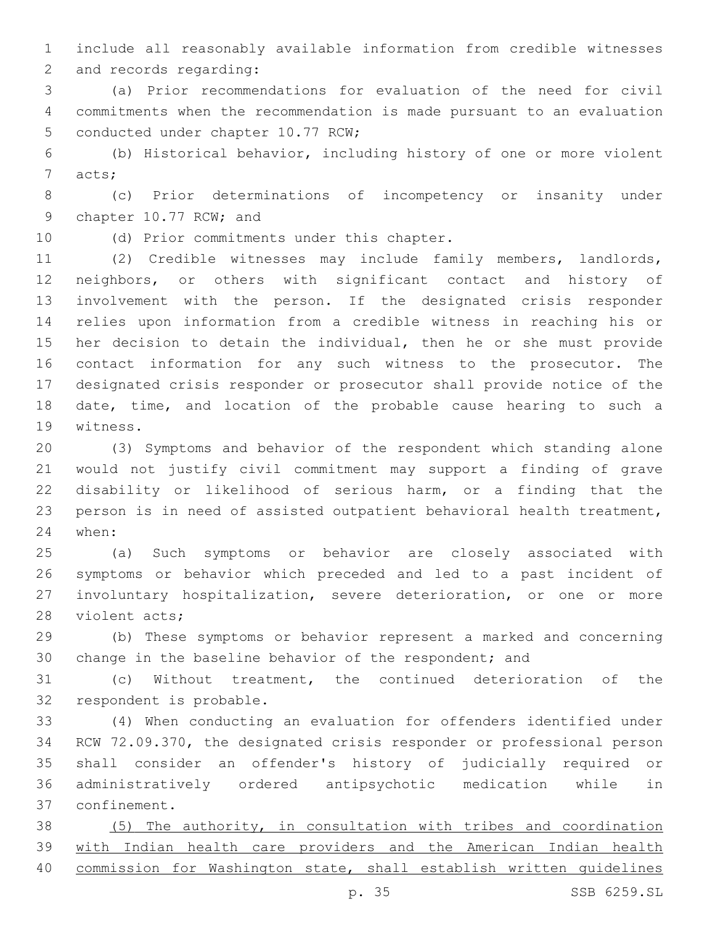include all reasonably available information from credible witnesses 2 and records regarding:

 (a) Prior recommendations for evaluation of the need for civil commitments when the recommendation is made pursuant to an evaluation 5 conducted under chapter 10.77 RCW;

 (b) Historical behavior, including history of one or more violent 7 acts;

 (c) Prior determinations of incompetency or insanity under 9 chapter 10.77 RCW; and

10 (d) Prior commitments under this chapter.

 (2) Credible witnesses may include family members, landlords, neighbors, or others with significant contact and history of involvement with the person. If the designated crisis responder relies upon information from a credible witness in reaching his or her decision to detain the individual, then he or she must provide contact information for any such witness to the prosecutor. The designated crisis responder or prosecutor shall provide notice of the date, time, and location of the probable cause hearing to such a 19 witness.

 (3) Symptoms and behavior of the respondent which standing alone would not justify civil commitment may support a finding of grave disability or likelihood of serious harm, or a finding that the person is in need of assisted outpatient behavioral health treatment, 24 when:

 (a) Such symptoms or behavior are closely associated with symptoms or behavior which preceded and led to a past incident of involuntary hospitalization, severe deterioration, or one or more 28 violent acts;

 (b) These symptoms or behavior represent a marked and concerning change in the baseline behavior of the respondent; and

 (c) Without treatment, the continued deterioration of the 32 respondent is probable.

 (4) When conducting an evaluation for offenders identified under RCW 72.09.370, the designated crisis responder or professional person shall consider an offender's history of judicially required or administratively ordered antipsychotic medication while in confinement.37

 (5) The authority, in consultation with tribes and coordination with Indian health care providers and the American Indian health commission for Washington state, shall establish written guidelines

p. 35 SSB 6259.SL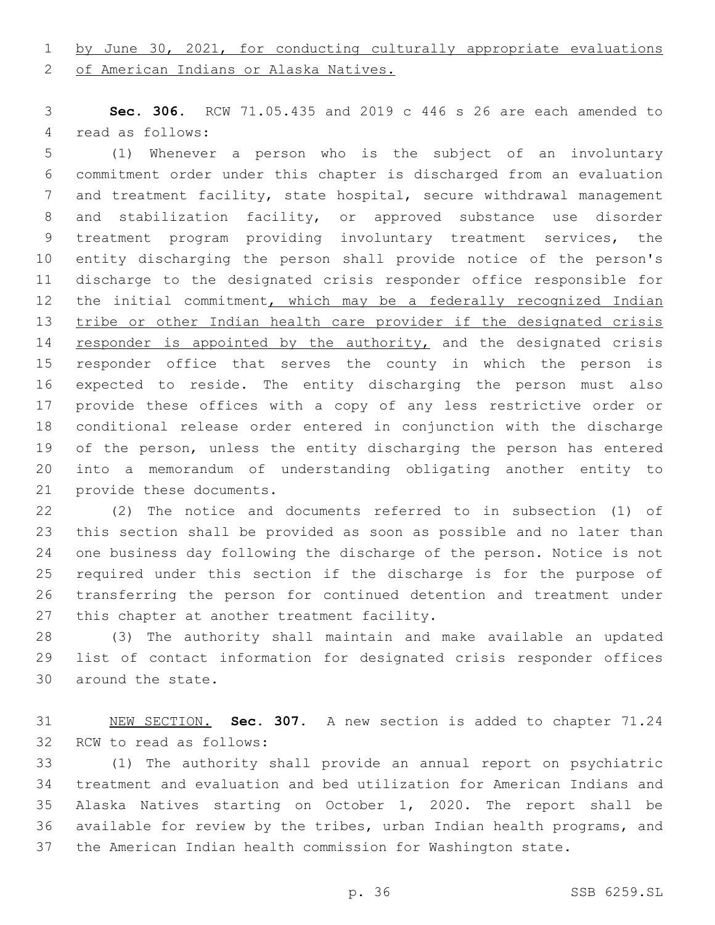# by June 30, 2021, for conducting culturally appropriate evaluations

2 of American Indians or Alaska Natives.

 **Sec. 306.** RCW 71.05.435 and 2019 c 446 s 26 are each amended to 4 read as follows:

 (1) Whenever a person who is the subject of an involuntary commitment order under this chapter is discharged from an evaluation and treatment facility, state hospital, secure withdrawal management and stabilization facility, or approved substance use disorder treatment program providing involuntary treatment services, the entity discharging the person shall provide notice of the person's discharge to the designated crisis responder office responsible for 12 the initial commitment, which may be a federally recognized Indian tribe or other Indian health care provider if the designated crisis 14 responder is appointed by the authority, and the designated crisis responder office that serves the county in which the person is expected to reside. The entity discharging the person must also provide these offices with a copy of any less restrictive order or conditional release order entered in conjunction with the discharge of the person, unless the entity discharging the person has entered into a memorandum of understanding obligating another entity to 21 provide these documents.

 (2) The notice and documents referred to in subsection (1) of this section shall be provided as soon as possible and no later than one business day following the discharge of the person. Notice is not required under this section if the discharge is for the purpose of transferring the person for continued detention and treatment under 27 this chapter at another treatment facility.

 (3) The authority shall maintain and make available an updated list of contact information for designated crisis responder offices 30 around the state.

 NEW SECTION. **Sec. 307.** A new section is added to chapter 71.24 32 RCW to read as follows:

 (1) The authority shall provide an annual report on psychiatric treatment and evaluation and bed utilization for American Indians and Alaska Natives starting on October 1, 2020. The report shall be available for review by the tribes, urban Indian health programs, and the American Indian health commission for Washington state.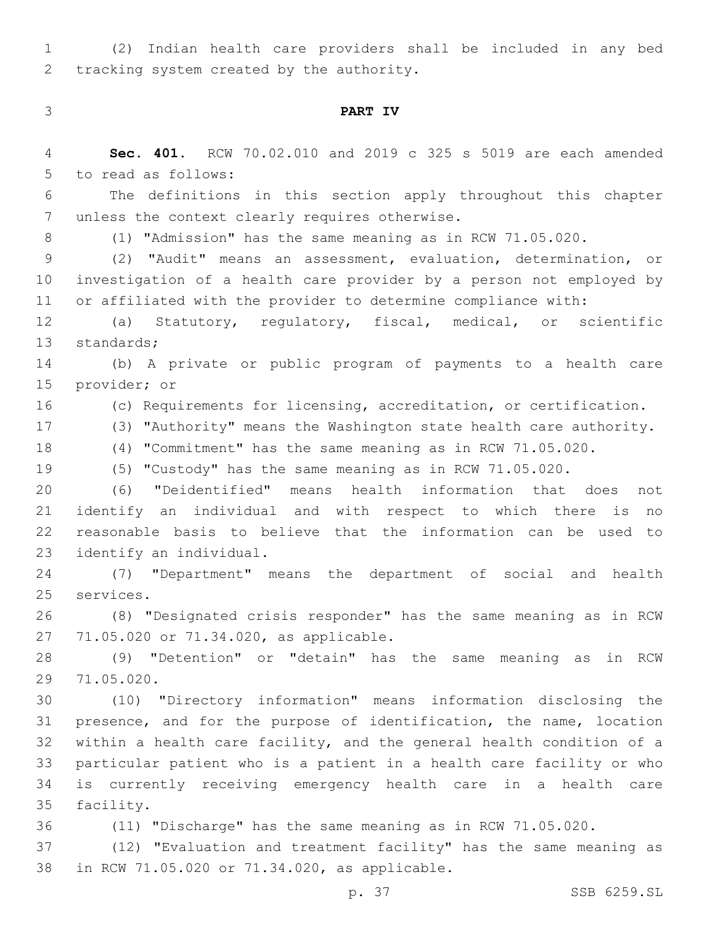(2) Indian health care providers shall be included in any bed 2 tracking system created by the authority.

# **PART IV**

| $\overline{4}$ | Sec. 401. RCW 70.02.010 and 2019 c 325 s 5019 are each amended       |
|----------------|----------------------------------------------------------------------|
| 5              | to read as follows:                                                  |
| 6              | The definitions in this section apply throughout this chapter        |
| 7              | unless the context clearly requires otherwise.                       |
| 8              | (1) "Admission" has the same meaning as in RCW 71.05.020.            |
| $\mathsf 9$    | (2) "Audit" means an assessment, evaluation, determination, or       |
| 10             | investigation of a health care provider by a person not employed by  |
| 11             | or affiliated with the provider to determine compliance with:        |
| 12             | (a) Statutory, regulatory, fiscal, medical, or scientific            |
| 13             | standards;                                                           |
| 14             | (b) A private or public program of payments to a health care         |
| 15             | provider; or                                                         |
| 16             | (c) Requirements for licensing, accreditation, or certification.     |
| 17             | (3) "Authority" means the Washington state health care authority.    |
| 18             | (4) "Commitment" has the same meaning as in RCW 71.05.020.           |
| 19             | (5) "Custody" has the same meaning as in RCW 71.05.020.              |
| 20             | "Deidentified" means health information that does<br>(6)<br>not      |
| 21             | identify an individual and with respect to which there is<br>no      |
| 22             | reasonable basis to believe that the information can be used to      |
| 23             | identify an individual.                                              |
| 24             | (7) "Department" means the department of social and health           |
| 25             | services.                                                            |
| 26             | (8) "Designated crisis responder" has the same meaning as in RCW     |
| 27             | 71.05.020 or 71.34.020, as applicable.                               |
| 28             | (9) "Detention" or "detain" has the same meaning as in RCW           |
| 29             | 71.05.020.                                                           |
| 30             | (10) "Directory information" means information disclosing the        |
| 31             | presence, and for the purpose of identification, the name, location  |
| 32             | within a health care facility, and the general health condition of a |
| 33             | particular patient who is a patient in a health care facility or who |
| 34             | is currently receiving emergency health care in a health care        |
| 35             | facility.                                                            |
| 36             | (11) "Discharge" has the same meaning as in RCW 71.05.020.           |
| 37             | (12) "Evaluation and treatment facility" has the same meaning as     |

38 in RCW 71.05.020 or 71.34.020, as applicable.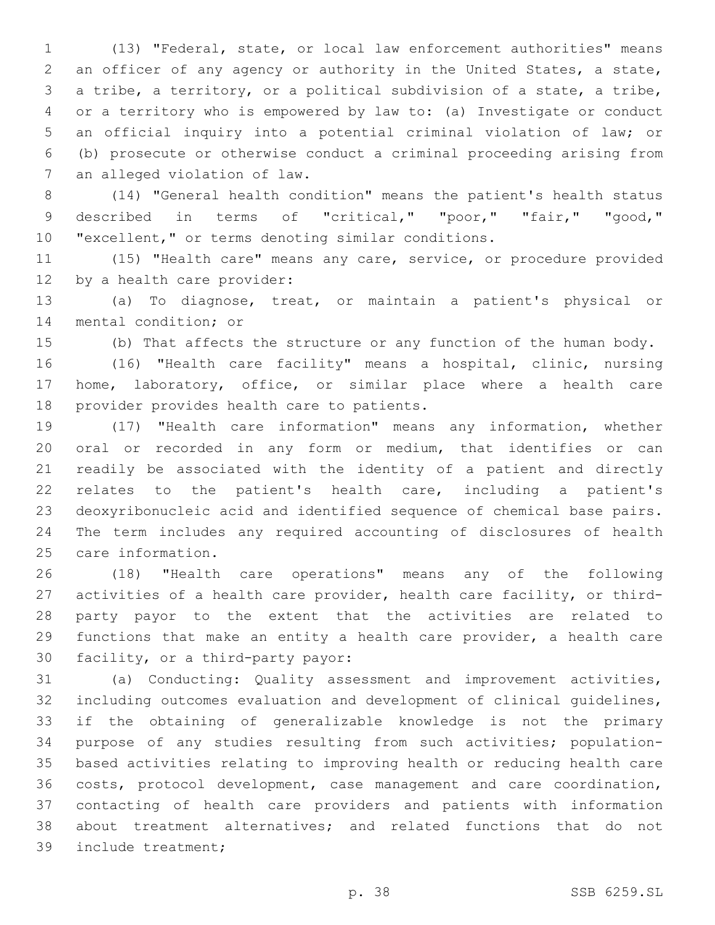(13) "Federal, state, or local law enforcement authorities" means an officer of any agency or authority in the United States, a state, a tribe, a territory, or a political subdivision of a state, a tribe, or a territory who is empowered by law to: (a) Investigate or conduct an official inquiry into a potential criminal violation of law; or (b) prosecute or otherwise conduct a criminal proceeding arising from 7 an alleged violation of law.

 (14) "General health condition" means the patient's health status described in terms of "critical," "poor," "fair," "good," "excellent," or terms denoting similar conditions.

 (15) "Health care" means any care, service, or procedure provided 12 by a health care provider:

 (a) To diagnose, treat, or maintain a patient's physical or 14 mental condition; or

(b) That affects the structure or any function of the human body.

 (16) "Health care facility" means a hospital, clinic, nursing home, laboratory, office, or similar place where a health care 18 provider provides health care to patients.

 (17) "Health care information" means any information, whether oral or recorded in any form or medium, that identifies or can readily be associated with the identity of a patient and directly relates to the patient's health care, including a patient's deoxyribonucleic acid and identified sequence of chemical base pairs. The term includes any required accounting of disclosures of health 25 care information.

 (18) "Health care operations" means any of the following activities of a health care provider, health care facility, or third- party payor to the extent that the activities are related to functions that make an entity a health care provider, a health care 30 facility, or a third-party payor:

 (a) Conducting: Quality assessment and improvement activities, including outcomes evaluation and development of clinical guidelines, if the obtaining of generalizable knowledge is not the primary purpose of any studies resulting from such activities; population- based activities relating to improving health or reducing health care costs, protocol development, case management and care coordination, contacting of health care providers and patients with information about treatment alternatives; and related functions that do not 39 include treatment;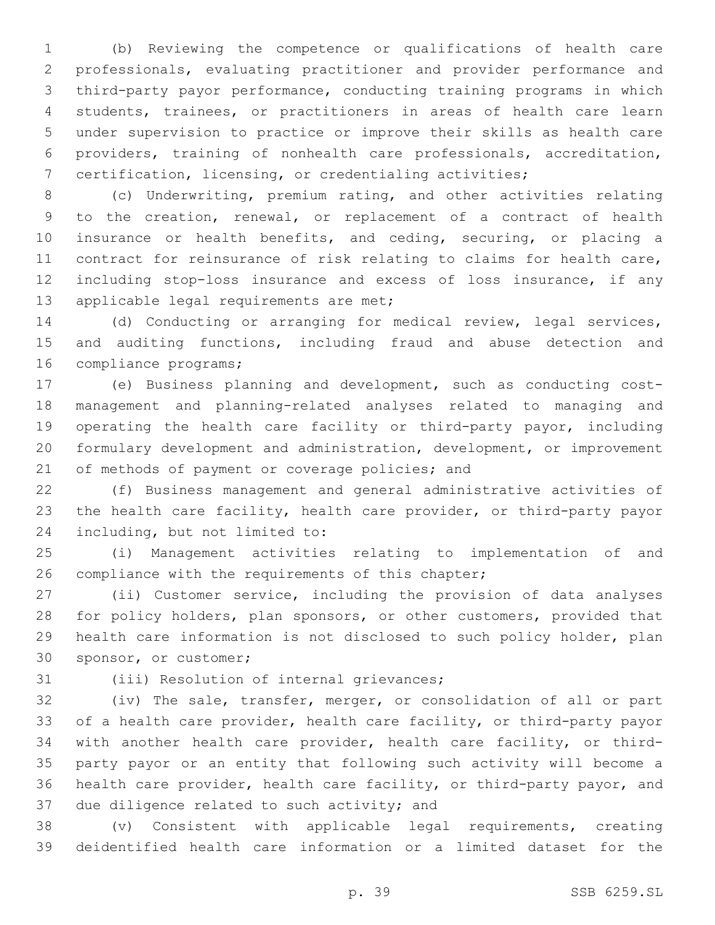(b) Reviewing the competence or qualifications of health care professionals, evaluating practitioner and provider performance and third-party payor performance, conducting training programs in which students, trainees, or practitioners in areas of health care learn under supervision to practice or improve their skills as health care providers, training of nonhealth care professionals, accreditation, certification, licensing, or credentialing activities;

 (c) Underwriting, premium rating, and other activities relating to the creation, renewal, or replacement of a contract of health insurance or health benefits, and ceding, securing, or placing a contract for reinsurance of risk relating to claims for health care, including stop-loss insurance and excess of loss insurance, if any 13 applicable legal requirements are met;

 (d) Conducting or arranging for medical review, legal services, and auditing functions, including fraud and abuse detection and 16 compliance programs;

 (e) Business planning and development, such as conducting cost- management and planning-related analyses related to managing and operating the health care facility or third-party payor, including formulary development and administration, development, or improvement 21 of methods of payment or coverage policies; and

 (f) Business management and general administrative activities of the health care facility, health care provider, or third-party payor 24 including, but not limited to:

 (i) Management activities relating to implementation of and 26 compliance with the requirements of this chapter;

 (ii) Customer service, including the provision of data analyses for policy holders, plan sponsors, or other customers, provided that health care information is not disclosed to such policy holder, plan 30 sponsor, or customer;

31 (iii) Resolution of internal grievances;

 (iv) The sale, transfer, merger, or consolidation of all or part of a health care provider, health care facility, or third-party payor with another health care provider, health care facility, or third- party payor or an entity that following such activity will become a health care provider, health care facility, or third-party payor, and 37 due diligence related to such activity; and

 (v) Consistent with applicable legal requirements, creating deidentified health care information or a limited dataset for the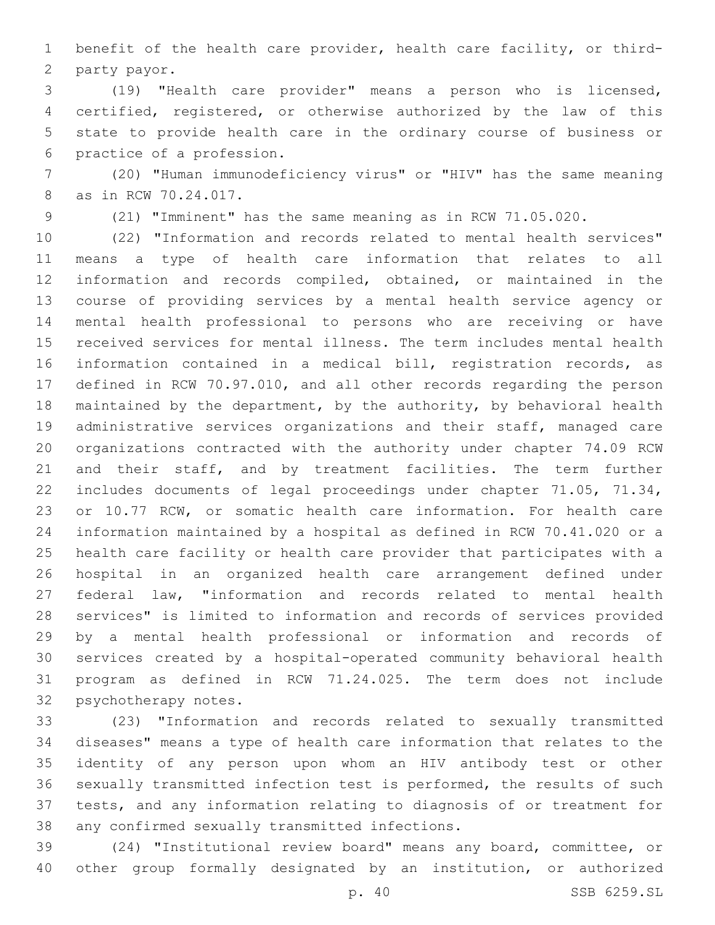benefit of the health care provider, health care facility, or third-2 party payor.

 (19) "Health care provider" means a person who is licensed, certified, registered, or otherwise authorized by the law of this state to provide health care in the ordinary course of business or 6 practice of a profession.

 (20) "Human immunodeficiency virus" or "HIV" has the same meaning 8 as in RCW 70.24.017.

(21) "Imminent" has the same meaning as in RCW 71.05.020.

 (22) "Information and records related to mental health services" means a type of health care information that relates to all information and records compiled, obtained, or maintained in the course of providing services by a mental health service agency or mental health professional to persons who are receiving or have received services for mental illness. The term includes mental health information contained in a medical bill, registration records, as defined in RCW 70.97.010, and all other records regarding the person maintained by the department, by the authority, by behavioral health administrative services organizations and their staff, managed care organizations contracted with the authority under chapter 74.09 RCW and their staff, and by treatment facilities. The term further includes documents of legal proceedings under chapter 71.05, 71.34, or 10.77 RCW, or somatic health care information. For health care information maintained by a hospital as defined in RCW 70.41.020 or a health care facility or health care provider that participates with a hospital in an organized health care arrangement defined under federal law, "information and records related to mental health services" is limited to information and records of services provided by a mental health professional or information and records of services created by a hospital-operated community behavioral health program as defined in RCW 71.24.025. The term does not include 32 psychotherapy notes.

 (23) "Information and records related to sexually transmitted diseases" means a type of health care information that relates to the identity of any person upon whom an HIV antibody test or other sexually transmitted infection test is performed, the results of such tests, and any information relating to diagnosis of or treatment for 38 any confirmed sexually transmitted infections.

 (24) "Institutional review board" means any board, committee, or other group formally designated by an institution, or authorized

p. 40 SSB 6259.SL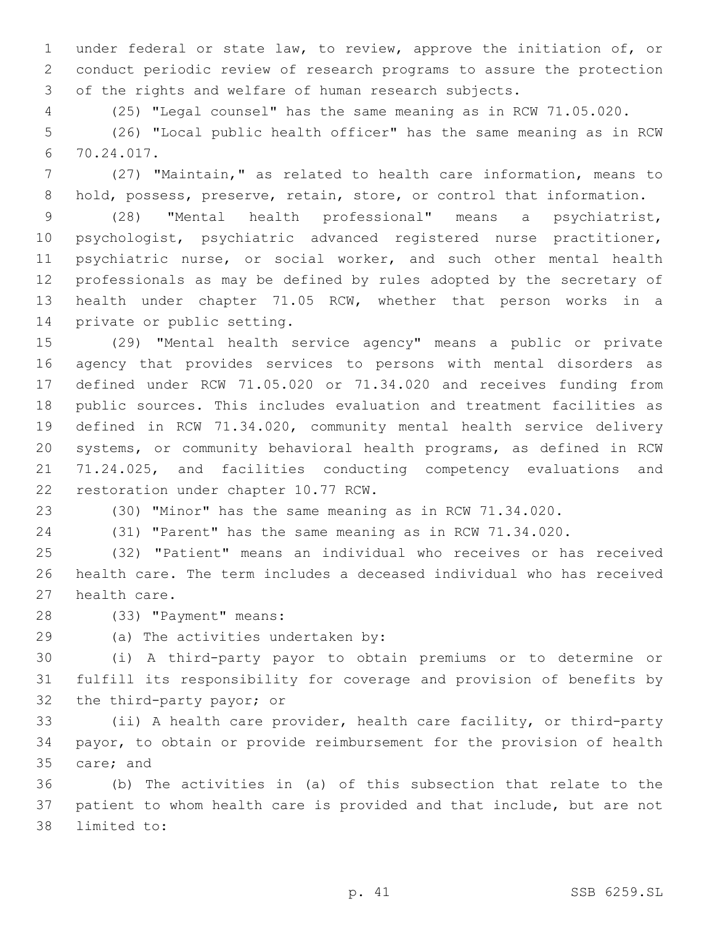under federal or state law, to review, approve the initiation of, or conduct periodic review of research programs to assure the protection of the rights and welfare of human research subjects.

(25) "Legal counsel" has the same meaning as in RCW 71.05.020.

 (26) "Local public health officer" has the same meaning as in RCW 70.24.017.6

 (27) "Maintain," as related to health care information, means to 8 hold, possess, preserve, retain, store, or control that information.

 (28) "Mental health professional" means a psychiatrist, psychologist, psychiatric advanced registered nurse practitioner, psychiatric nurse, or social worker, and such other mental health professionals as may be defined by rules adopted by the secretary of health under chapter 71.05 RCW, whether that person works in a 14 private or public setting.

 (29) "Mental health service agency" means a public or private agency that provides services to persons with mental disorders as defined under RCW 71.05.020 or 71.34.020 and receives funding from public sources. This includes evaluation and treatment facilities as defined in RCW 71.34.020, community mental health service delivery systems, or community behavioral health programs, as defined in RCW 71.24.025, and facilities conducting competency evaluations and 22 restoration under chapter 10.77 RCW.

(30) "Minor" has the same meaning as in RCW 71.34.020.

(31) "Parent" has the same meaning as in RCW 71.34.020.

 (32) "Patient" means an individual who receives or has received health care. The term includes a deceased individual who has received 27 health care.

28 (33) "Payment" means:

29 (a) The activities undertaken by:

 (i) A third-party payor to obtain premiums or to determine or fulfill its responsibility for coverage and provision of benefits by 32 the third-party payor; or

 (ii) A health care provider, health care facility, or third-party payor, to obtain or provide reimbursement for the provision of health 35 care; and

 (b) The activities in (a) of this subsection that relate to the patient to whom health care is provided and that include, but are not 38 limited to: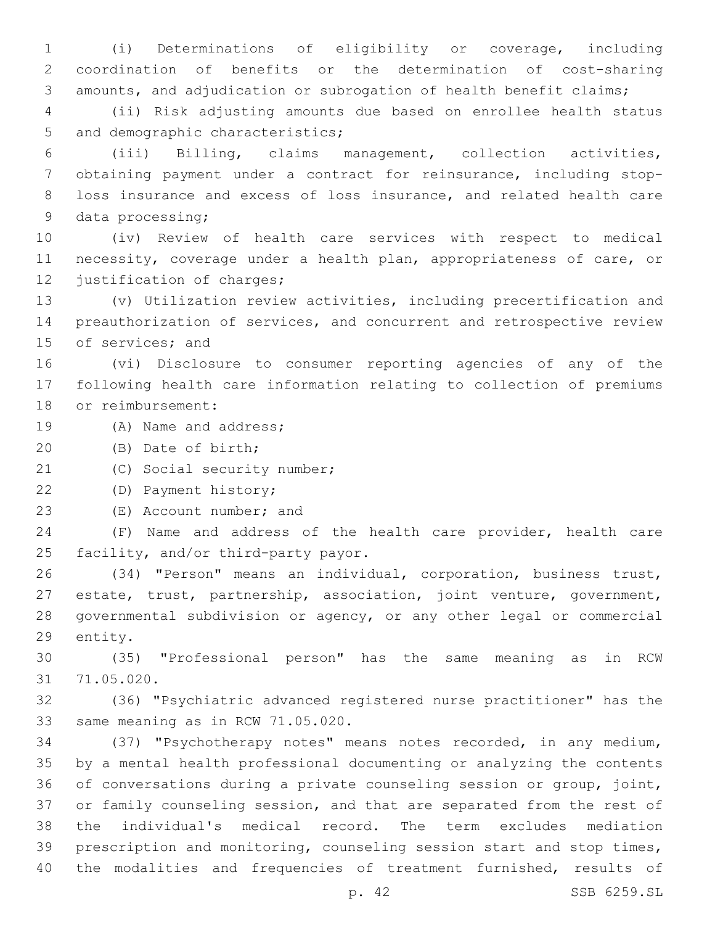(i) Determinations of eligibility or coverage, including coordination of benefits or the determination of cost-sharing 3 amounts, and adjudication or subrogation of health benefit claims;

 (ii) Risk adjusting amounts due based on enrollee health status 5 and demographic characteristics;

 (iii) Billing, claims management, collection activities, obtaining payment under a contract for reinsurance, including stop- loss insurance and excess of loss insurance, and related health care 9 data processing;

 (iv) Review of health care services with respect to medical necessity, coverage under a health plan, appropriateness of care, or 12 justification of charges;

 (v) Utilization review activities, including precertification and preauthorization of services, and concurrent and retrospective review 15 of services; and

 (vi) Disclosure to consumer reporting agencies of any of the following health care information relating to collection of premiums 18 or reimbursement:

- 19 (A) Name and address;
- (B) Date of birth;20
- 21 (C) Social security number;

(D) Payment history;22

23 (E) Account number; and

 (F) Name and address of the health care provider, health care 25 facility, and/or third-party payor.

 (34) "Person" means an individual, corporation, business trust, estate, trust, partnership, association, joint venture, government, governmental subdivision or agency, or any other legal or commercial 29 entity.

 (35) "Professional person" has the same meaning as in RCW 71.05.020.31

 (36) "Psychiatric advanced registered nurse practitioner" has the 33 same meaning as in RCW 71.05.020.

 (37) "Psychotherapy notes" means notes recorded, in any medium, by a mental health professional documenting or analyzing the contents of conversations during a private counseling session or group, joint, or family counseling session, and that are separated from the rest of the individual's medical record. The term excludes mediation prescription and monitoring, counseling session start and stop times, the modalities and frequencies of treatment furnished, results of

p. 42 SSB 6259.SL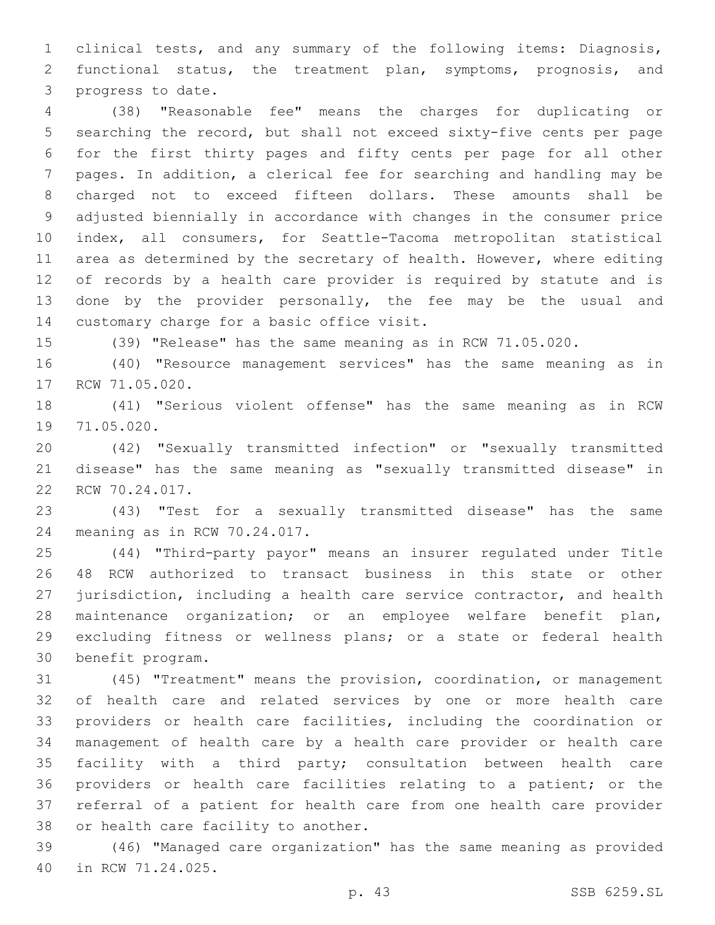clinical tests, and any summary of the following items: Diagnosis, functional status, the treatment plan, symptoms, prognosis, and 3 progress to date.

 (38) "Reasonable fee" means the charges for duplicating or searching the record, but shall not exceed sixty-five cents per page for the first thirty pages and fifty cents per page for all other pages. In addition, a clerical fee for searching and handling may be charged not to exceed fifteen dollars. These amounts shall be adjusted biennially in accordance with changes in the consumer price index, all consumers, for Seattle-Tacoma metropolitan statistical area as determined by the secretary of health. However, where editing of records by a health care provider is required by statute and is done by the provider personally, the fee may be the usual and 14 customary charge for a basic office visit.

(39) "Release" has the same meaning as in RCW 71.05.020.

 (40) "Resource management services" has the same meaning as in 17 RCW 71.05.020.

 (41) "Serious violent offense" has the same meaning as in RCW 19 71.05.020.

 (42) "Sexually transmitted infection" or "sexually transmitted disease" has the same meaning as "sexually transmitted disease" in 22 RCW 70.24.017.

 (43) "Test for a sexually transmitted disease" has the same 24 meaning as in RCW 70.24.017.

 (44) "Third-party payor" means an insurer regulated under Title 48 RCW authorized to transact business in this state or other jurisdiction, including a health care service contractor, and health maintenance organization; or an employee welfare benefit plan, excluding fitness or wellness plans; or a state or federal health 30 benefit program.

 (45) "Treatment" means the provision, coordination, or management of health care and related services by one or more health care providers or health care facilities, including the coordination or management of health care by a health care provider or health care facility with a third party; consultation between health care providers or health care facilities relating to a patient; or the referral of a patient for health care from one health care provider 38 or health care facility to another.

 (46) "Managed care organization" has the same meaning as provided 40 in RCW 71.24.025.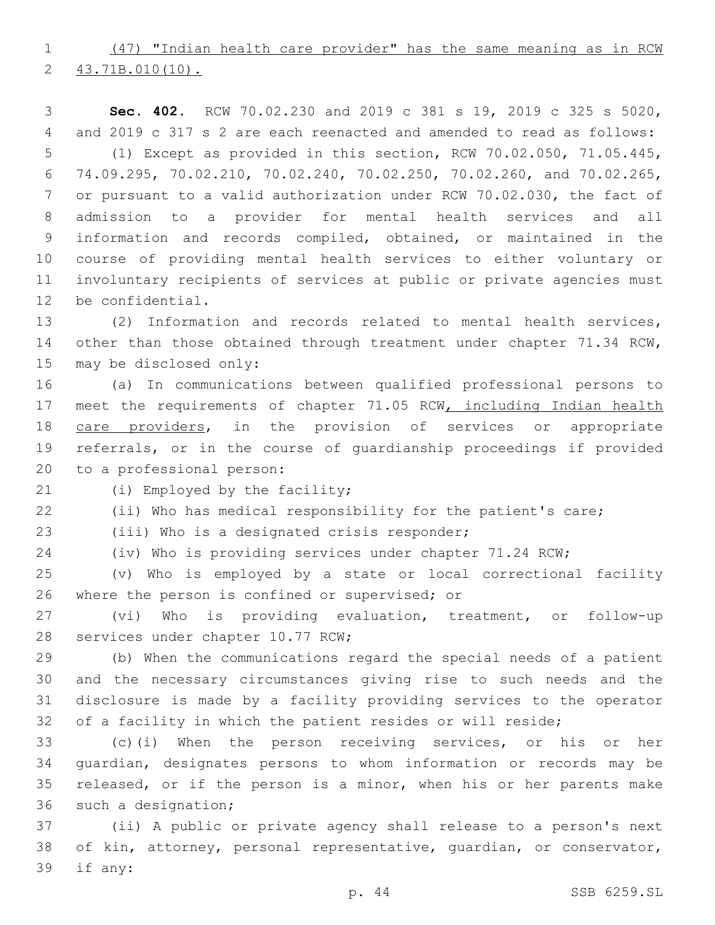(47) "Indian health care provider" has the same meaning as in RCW 2 43.71B.010(10).

 **Sec. 402.** RCW 70.02.230 and 2019 c 381 s 19, 2019 c 325 s 5020, and 2019 c 317 s 2 are each reenacted and amended to read as follows: (1) Except as provided in this section, RCW 70.02.050, 71.05.445, 74.09.295, 70.02.210, 70.02.240, 70.02.250, 70.02.260, and 70.02.265, or pursuant to a valid authorization under RCW 70.02.030, the fact of admission to a provider for mental health services and all information and records compiled, obtained, or maintained in the course of providing mental health services to either voluntary or involuntary recipients of services at public or private agencies must 12 be confidential.

 (2) Information and records related to mental health services, 14 other than those obtained through treatment under chapter 71.34 RCW, 15 may be disclosed only:

 (a) In communications between qualified professional persons to 17 meet the requirements of chapter 71.05 RCW, including Indian health 18 care providers, in the provision of services or appropriate referrals, or in the course of guardianship proceedings if provided 20 to a professional person:

21 (i) Employed by the facility;

(ii) Who has medical responsibility for the patient's care;

23 (iii) Who is a designated crisis responder;

(iv) Who is providing services under chapter 71.24 RCW;

 (v) Who is employed by a state or local correctional facility 26 where the person is confined or supervised; or

 (vi) Who is providing evaluation, treatment, or follow-up 28 services under chapter 10.77 RCW;

 (b) When the communications regard the special needs of a patient and the necessary circumstances giving rise to such needs and the disclosure is made by a facility providing services to the operator 32 of a facility in which the patient resides or will reside;

 (c)(i) When the person receiving services, or his or her guardian, designates persons to whom information or records may be released, or if the person is a minor, when his or her parents make 36 such a designation;

 (ii) A public or private agency shall release to a person's next of kin, attorney, personal representative, guardian, or conservator, 39 if any: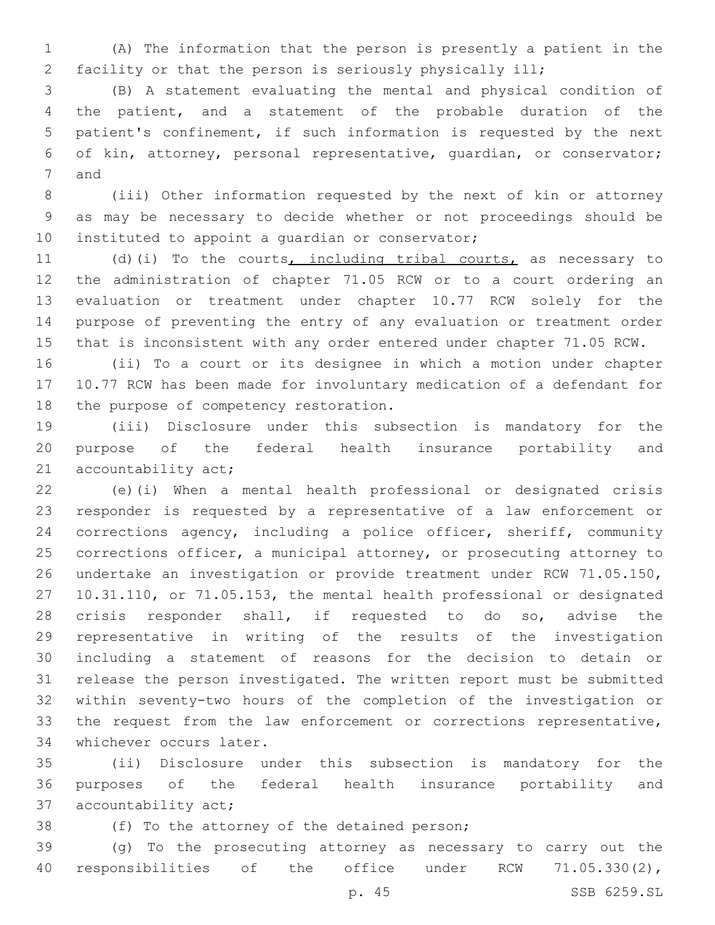(A) The information that the person is presently a patient in the facility or that the person is seriously physically ill;

 (B) A statement evaluating the mental and physical condition of the patient, and a statement of the probable duration of the patient's confinement, if such information is requested by the next of kin, attorney, personal representative, guardian, or conservator; 7 and

 (iii) Other information requested by the next of kin or attorney as may be necessary to decide whether or not proceedings should be 10 instituted to appoint a quardian or conservator;

11 (d)(i) To the courts, including tribal courts, as necessary to the administration of chapter 71.05 RCW or to a court ordering an evaluation or treatment under chapter 10.77 RCW solely for the purpose of preventing the entry of any evaluation or treatment order that is inconsistent with any order entered under chapter 71.05 RCW.

 (ii) To a court or its designee in which a motion under chapter 10.77 RCW has been made for involuntary medication of a defendant for 18 the purpose of competency restoration.

 (iii) Disclosure under this subsection is mandatory for the purpose of the federal health insurance portability and 21 accountability act;

 (e)(i) When a mental health professional or designated crisis responder is requested by a representative of a law enforcement or corrections agency, including a police officer, sheriff, community corrections officer, a municipal attorney, or prosecuting attorney to undertake an investigation or provide treatment under RCW 71.05.150, 10.31.110, or 71.05.153, the mental health professional or designated crisis responder shall, if requested to do so, advise the representative in writing of the results of the investigation including a statement of reasons for the decision to detain or release the person investigated. The written report must be submitted within seventy-two hours of the completion of the investigation or the request from the law enforcement or corrections representative, 34 whichever occurs later.

 (ii) Disclosure under this subsection is mandatory for the purposes of the federal health insurance portability and 37 accountability act;

38 (f) To the attorney of the detained person;

 (g) To the prosecuting attorney as necessary to carry out the responsibilities of the office under RCW 71.05.330(2),

p. 45 SSB 6259.SL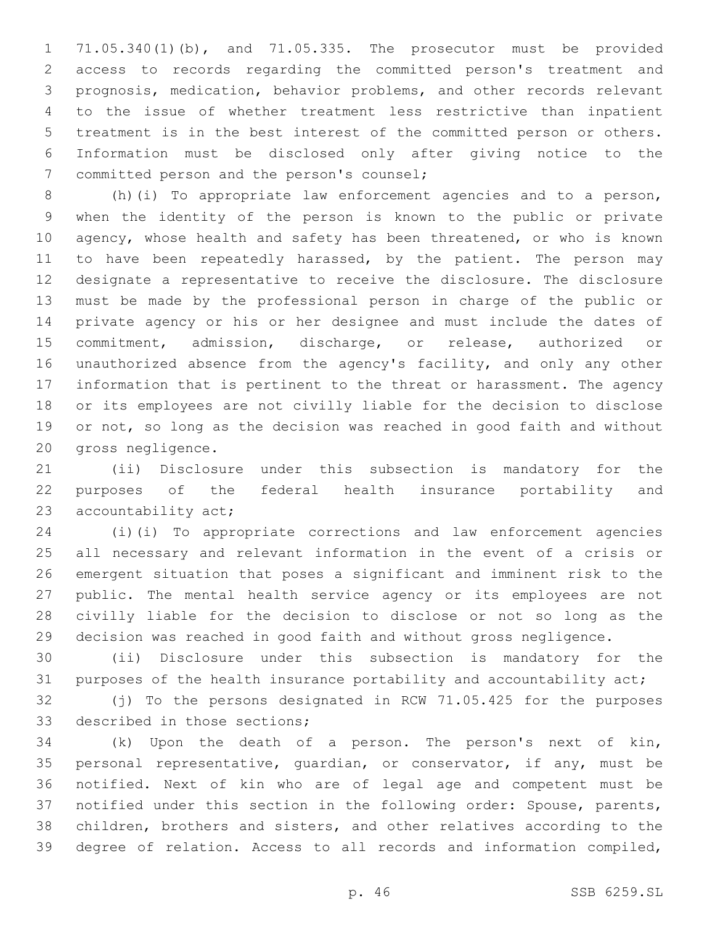71.05.340(1)(b), and 71.05.335. The prosecutor must be provided access to records regarding the committed person's treatment and prognosis, medication, behavior problems, and other records relevant to the issue of whether treatment less restrictive than inpatient treatment is in the best interest of the committed person or others. Information must be disclosed only after giving notice to the 7 committed person and the person's counsel;

 (h)(i) To appropriate law enforcement agencies and to a person, when the identity of the person is known to the public or private 10 agency, whose health and safety has been threatened, or who is known 11 to have been repeatedly harassed, by the patient. The person may designate a representative to receive the disclosure. The disclosure must be made by the professional person in charge of the public or private agency or his or her designee and must include the dates of commitment, admission, discharge, or release, authorized or unauthorized absence from the agency's facility, and only any other information that is pertinent to the threat or harassment. The agency or its employees are not civilly liable for the decision to disclose or not, so long as the decision was reached in good faith and without 20 gross negligence.

 (ii) Disclosure under this subsection is mandatory for the purposes of the federal health insurance portability and 23 accountability act;

 (i)(i) To appropriate corrections and law enforcement agencies all necessary and relevant information in the event of a crisis or emergent situation that poses a significant and imminent risk to the public. The mental health service agency or its employees are not civilly liable for the decision to disclose or not so long as the decision was reached in good faith and without gross negligence.

 (ii) Disclosure under this subsection is mandatory for the purposes of the health insurance portability and accountability act;

 (j) To the persons designated in RCW 71.05.425 for the purposes 33 described in those sections;

 (k) Upon the death of a person. The person's next of kin, personal representative, guardian, or conservator, if any, must be notified. Next of kin who are of legal age and competent must be notified under this section in the following order: Spouse, parents, children, brothers and sisters, and other relatives according to the degree of relation. Access to all records and information compiled,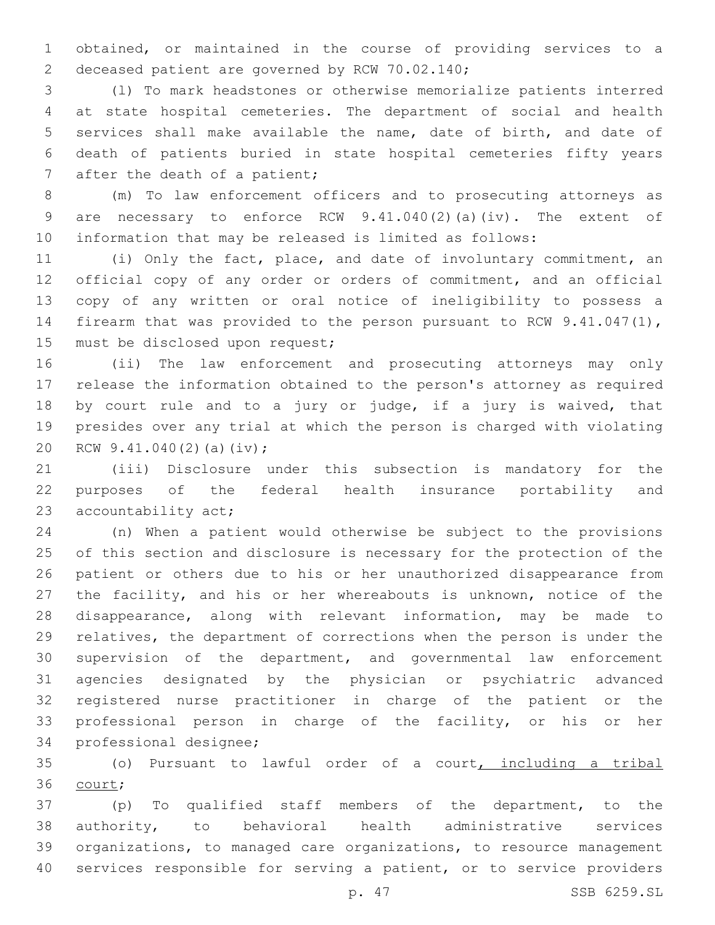obtained, or maintained in the course of providing services to a 2 deceased patient are governed by RCW 70.02.140;

 (l) To mark headstones or otherwise memorialize patients interred at state hospital cemeteries. The department of social and health services shall make available the name, date of birth, and date of death of patients buried in state hospital cemeteries fifty years 7 after the death of a patient;

 (m) To law enforcement officers and to prosecuting attorneys as are necessary to enforce RCW 9.41.040(2)(a)(iv). The extent of information that may be released is limited as follows:

 (i) Only the fact, place, and date of involuntary commitment, an official copy of any order or orders of commitment, and an official copy of any written or oral notice of ineligibility to possess a firearm that was provided to the person pursuant to RCW 9.41.047(1), 15 must be disclosed upon request;

 (ii) The law enforcement and prosecuting attorneys may only release the information obtained to the person's attorney as required by court rule and to a jury or judge, if a jury is waived, that presides over any trial at which the person is charged with violating 20 RCW 9.41.040(2)(a)(iv);

 (iii) Disclosure under this subsection is mandatory for the purposes of the federal health insurance portability and 23 accountability act;

 (n) When a patient would otherwise be subject to the provisions of this section and disclosure is necessary for the protection of the patient or others due to his or her unauthorized disappearance from the facility, and his or her whereabouts is unknown, notice of the disappearance, along with relevant information, may be made to relatives, the department of corrections when the person is under the supervision of the department, and governmental law enforcement agencies designated by the physician or psychiatric advanced registered nurse practitioner in charge of the patient or the professional person in charge of the facility, or his or her 34 professional designee;

 (o) Pursuant to lawful order of a court, including a tribal 36 court;

 (p) To qualified staff members of the department, to the authority, to behavioral health administrative services organizations, to managed care organizations, to resource management services responsible for serving a patient, or to service providers

p. 47 SSB 6259.SL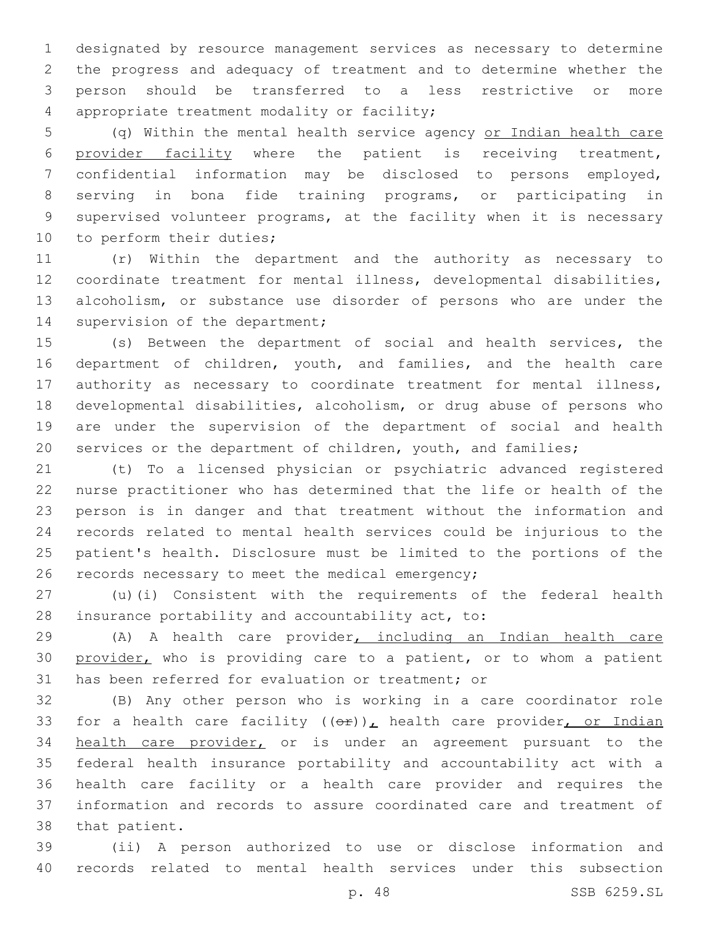designated by resource management services as necessary to determine the progress and adequacy of treatment and to determine whether the person should be transferred to a less restrictive or more 4 appropriate treatment modality or facility;

 (q) Within the mental health service agency or Indian health care provider facility where the patient is receiving treatment, confidential information may be disclosed to persons employed, serving in bona fide training programs, or participating in supervised volunteer programs, at the facility when it is necessary 10 to perform their duties;

 (r) Within the department and the authority as necessary to coordinate treatment for mental illness, developmental disabilities, alcoholism, or substance use disorder of persons who are under the 14 supervision of the department;

 (s) Between the department of social and health services, the department of children, youth, and families, and the health care authority as necessary to coordinate treatment for mental illness, developmental disabilities, alcoholism, or drug abuse of persons who are under the supervision of the department of social and health services or the department of children, youth, and families;

 (t) To a licensed physician or psychiatric advanced registered nurse practitioner who has determined that the life or health of the person is in danger and that treatment without the information and records related to mental health services could be injurious to the patient's health. Disclosure must be limited to the portions of the 26 records necessary to meet the medical emergency;

 (u)(i) Consistent with the requirements of the federal health 28 insurance portability and accountability act, to:

 (A) A health care provider, including an Indian health care 30 provider, who is providing care to a patient, or to whom a patient 31 has been referred for evaluation or treatment; or

 (B) Any other person who is working in a care coordinator role 33 for a health care facility  $((\theta \hat{r}))_L$  health care provider, or Indian health care provider, or is under an agreement pursuant to the federal health insurance portability and accountability act with a health care facility or a health care provider and requires the information and records to assure coordinated care and treatment of 38 that patient.

 (ii) A person authorized to use or disclose information and records related to mental health services under this subsection

p. 48 SSB 6259.SL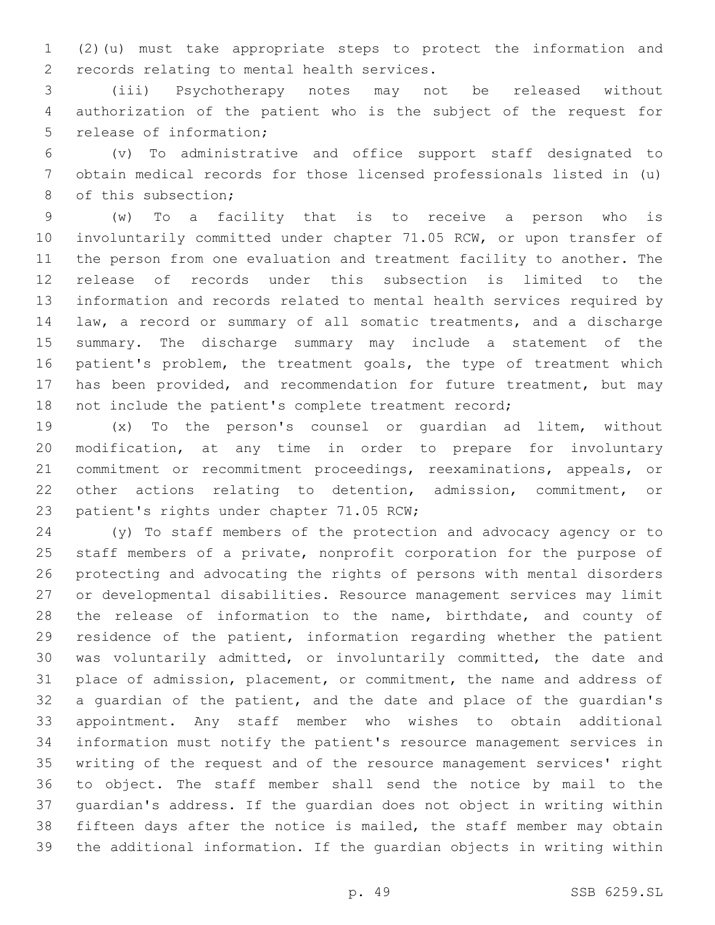(2)(u) must take appropriate steps to protect the information and 2 records relating to mental health services.

 (iii) Psychotherapy notes may not be released without authorization of the patient who is the subject of the request for 5 release of information;

 (v) To administrative and office support staff designated to obtain medical records for those licensed professionals listed in (u) 8 of this subsection;

 (w) To a facility that is to receive a person who is involuntarily committed under chapter 71.05 RCW, or upon transfer of the person from one evaluation and treatment facility to another. The release of records under this subsection is limited to the information and records related to mental health services required by law, a record or summary of all somatic treatments, and a discharge summary. The discharge summary may include a statement of the 16 patient's problem, the treatment goals, the type of treatment which has been provided, and recommendation for future treatment, but may not include the patient's complete treatment record;

 (x) To the person's counsel or guardian ad litem, without modification, at any time in order to prepare for involuntary commitment or recommitment proceedings, reexaminations, appeals, or other actions relating to detention, admission, commitment, or 23 patient's rights under chapter 71.05 RCW;

 (y) To staff members of the protection and advocacy agency or to staff members of a private, nonprofit corporation for the purpose of protecting and advocating the rights of persons with mental disorders or developmental disabilities. Resource management services may limit 28 the release of information to the name, birthdate, and county of residence of the patient, information regarding whether the patient was voluntarily admitted, or involuntarily committed, the date and place of admission, placement, or commitment, the name and address of a guardian of the patient, and the date and place of the guardian's appointment. Any staff member who wishes to obtain additional information must notify the patient's resource management services in writing of the request and of the resource management services' right to object. The staff member shall send the notice by mail to the guardian's address. If the guardian does not object in writing within fifteen days after the notice is mailed, the staff member may obtain the additional information. If the guardian objects in writing within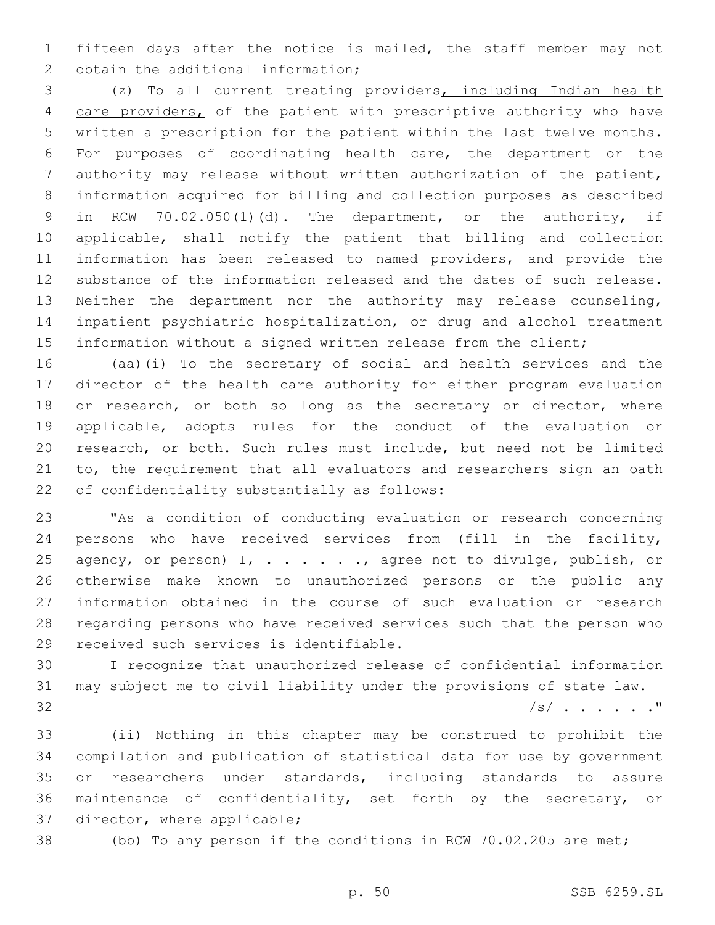fifteen days after the notice is mailed, the staff member may not 2 obtain the additional information;

 (z) To all current treating providers, including Indian health 4 care providers, of the patient with prescriptive authority who have written a prescription for the patient within the last twelve months. For purposes of coordinating health care, the department or the authority may release without written authorization of the patient, information acquired for billing and collection purposes as described in RCW 70.02.050(1)(d). The department, or the authority, if applicable, shall notify the patient that billing and collection information has been released to named providers, and provide the substance of the information released and the dates of such release. Neither the department nor the authority may release counseling, inpatient psychiatric hospitalization, or drug and alcohol treatment information without a signed written release from the client;

 (aa)(i) To the secretary of social and health services and the director of the health care authority for either program evaluation 18 or research, or both so long as the secretary or director, where applicable, adopts rules for the conduct of the evaluation or research, or both. Such rules must include, but need not be limited to, the requirement that all evaluators and researchers sign an oath 22 of confidentiality substantially as follows:

 "As a condition of conducting evaluation or research concerning persons who have received services from (fill in the facility, 25 agency, or person) I, . . . . . . , agree not to divulge, publish, or otherwise make known to unauthorized persons or the public any information obtained in the course of such evaluation or research regarding persons who have received services such that the person who 29 received such services is identifiable.

 I recognize that unauthorized release of confidential information may subject me to civil liability under the provisions of state law. /s/ . . . . . ."

 (ii) Nothing in this chapter may be construed to prohibit the compilation and publication of statistical data for use by government or researchers under standards, including standards to assure maintenance of confidentiality, set forth by the secretary, or 37 director, where applicable;

(bb) To any person if the conditions in RCW 70.02.205 are met;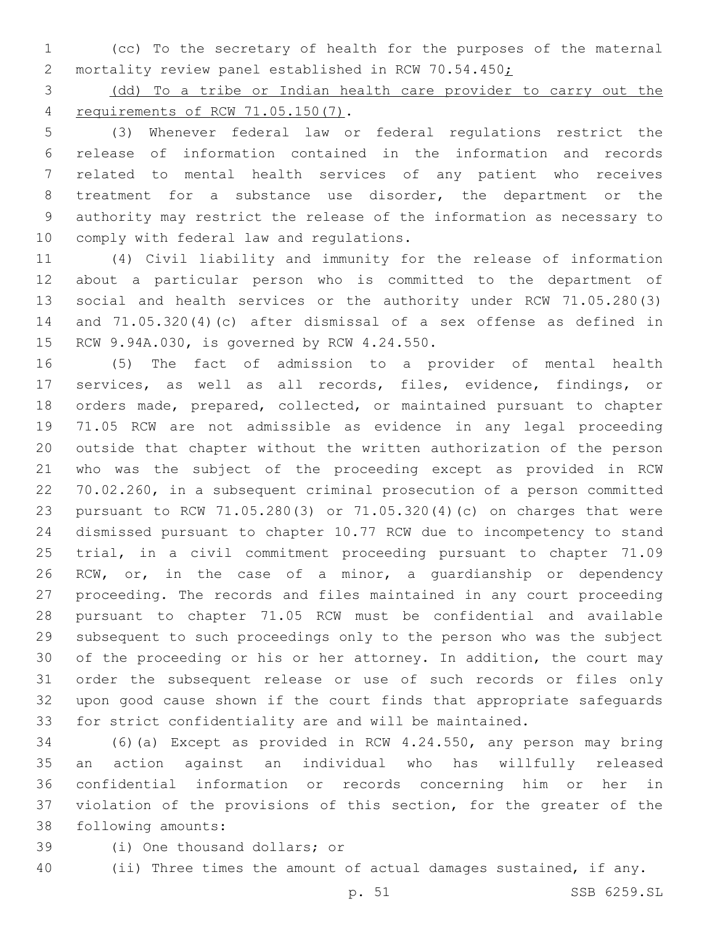(cc) To the secretary of health for the purposes of the maternal 2 mortality review panel established in RCW 70.54.450;

 (dd) To a tribe or Indian health care provider to carry out the requirements of RCW 71.05.150(7).4

 (3) Whenever federal law or federal regulations restrict the release of information contained in the information and records related to mental health services of any patient who receives treatment for a substance use disorder, the department or the authority may restrict the release of the information as necessary to 10 comply with federal law and regulations.

 (4) Civil liability and immunity for the release of information about a particular person who is committed to the department of social and health services or the authority under RCW 71.05.280(3) and 71.05.320(4)(c) after dismissal of a sex offense as defined in 15 RCW 9.94A.030, is governed by RCW 4.24.550.

 (5) The fact of admission to a provider of mental health services, as well as all records, files, evidence, findings, or orders made, prepared, collected, or maintained pursuant to chapter 71.05 RCW are not admissible as evidence in any legal proceeding outside that chapter without the written authorization of the person who was the subject of the proceeding except as provided in RCW 70.02.260, in a subsequent criminal prosecution of a person committed pursuant to RCW 71.05.280(3) or 71.05.320(4)(c) on charges that were dismissed pursuant to chapter 10.77 RCW due to incompetency to stand trial, in a civil commitment proceeding pursuant to chapter 71.09 RCW, or, in the case of a minor, a guardianship or dependency proceeding. The records and files maintained in any court proceeding pursuant to chapter 71.05 RCW must be confidential and available subsequent to such proceedings only to the person who was the subject of the proceeding or his or her attorney. In addition, the court may order the subsequent release or use of such records or files only upon good cause shown if the court finds that appropriate safeguards for strict confidentiality are and will be maintained.

 (6)(a) Except as provided in RCW 4.24.550, any person may bring an action against an individual who has willfully released confidential information or records concerning him or her in violation of the provisions of this section, for the greater of the 38 following amounts:

- 39 (i) One thousand dollars; or
- 40 (ii) Three times the amount of actual damages sustained, if any.